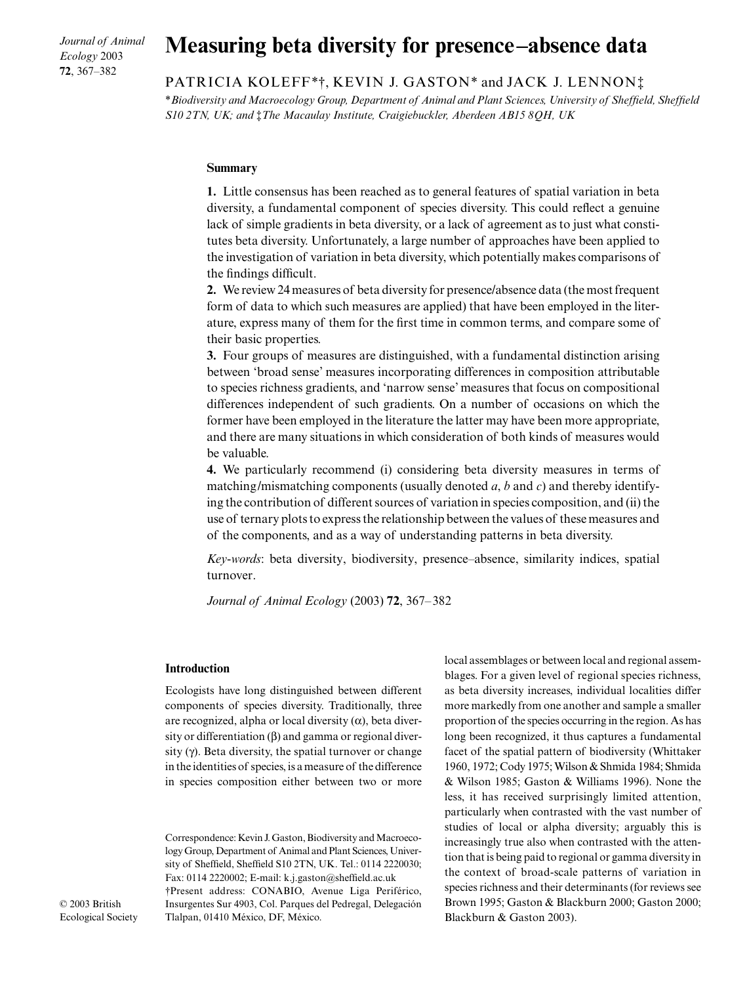*Journal of Animal Ecology* 2003 **72**, 367–382

# **Measuring beta diversity for presence–absence data**

# PATRICIA KOLEFF\*†, KEVIN J. GASTON\* and JACK J. LENNON‡

\**Biodiversity and Macroecology Group, Department of Animal and Plant Sciences, University of Sheffield, Sheffield S10 2TN, UK; and* ‡*The Macaulay Institute, Craigiebuckler, Aberdeen AB15 8QH, UK* 

# **Summary**

**1.** Little consensus has been reached as to general features of spatial variation in beta diversity, a fundamental component of species diversity. This could reflect a genuine lack of simple gradients in beta diversity, or a lack of agreement as to just what constitutes beta diversity. Unfortunately, a large number of approaches have been applied to the investigation of variation in beta diversity, which potentially makes comparisons of the findings difficult.

**2.** We review 24 measures of beta diversity for presence/absence data (the most frequent form of data to which such measures are applied) that have been employed in the literature, express many of them for the first time in common terms, and compare some of their basic properties.

**3.** Four groups of measures are distinguished, with a fundamental distinction arising between 'broad sense' measures incorporating differences in composition attributable to species richness gradients, and 'narrow sense' measures that focus on compositional differences independent of such gradients. On a number of occasions on which the former have been employed in the literature the latter may have been more appropriate, and there are many situations in which consideration of both kinds of measures would be valuable.

**4.** We particularly recommend (i) considering beta diversity measures in terms of matching/mismatching components (usually denoted *a*, *b* and *c*) and thereby identifying the contribution of different sources of variation in species composition, and (ii) the use of ternary plots to express the relationship between the values of these measures and of the components, and as a way of understanding patterns in beta diversity.

*Key-words*: beta diversity, biodiversity, presence–absence, similarity indices, spatial turnover.

*Journal of Animal Ecology* (2003) **72**, 367–382

#### **Introduction**

Ecologists have long distinguished between different components of species diversity. Traditionally, three are recognized, alpha or local diversity  $(\alpha)$ , beta diversity or differentiation (β) and gamma or regional diversity  $(y)$ . Beta diversity, the spatial turnover or change in the identities of species, is a measure of the difference in species composition either between two or more

Correspondence: Kevin J. Gaston, Biodiversity and Macroecology Group, Department of Animal and Plant Sciences, University of Sheffield, Sheffield S10 2TN, UK. Tel.: 0114 2220030; Fax: 0114 2220002; E-mail: k.j.gaston@sheffield.ac.uk †Present address: CONABIO, Avenue Liga Periférico, Insurgentes Sur 4903, Col. Parques del Pedregal, Delegación Tlalpan, 01410 México, DF, México.

local assemblages or between local and regional assemblages. For a given level of regional species richness, as beta diversity increases, individual localities differ more markedly from one another and sample a smaller proportion of the species occurring in the region. As has long been recognized, it thus captures a fundamental facet of the spatial pattern of biodiversity (Whittaker 1960, 1972; Cody 1975; Wilson & Shmida 1984; Shmida & Wilson 1985; Gaston & Williams 1996). None the less, it has received surprisingly limited attention, particularly when contrasted with the vast number of studies of local or alpha diversity; arguably this is increasingly true also when contrasted with the attention that is being paid to regional or gamma diversity in the context of broad-scale patterns of variation in species richness and their determinants (for reviews see Brown 1995; Gaston & Blackburn 2000; Gaston 2000; Blackburn & Gaston 2003).

© 2003 British Ecological Society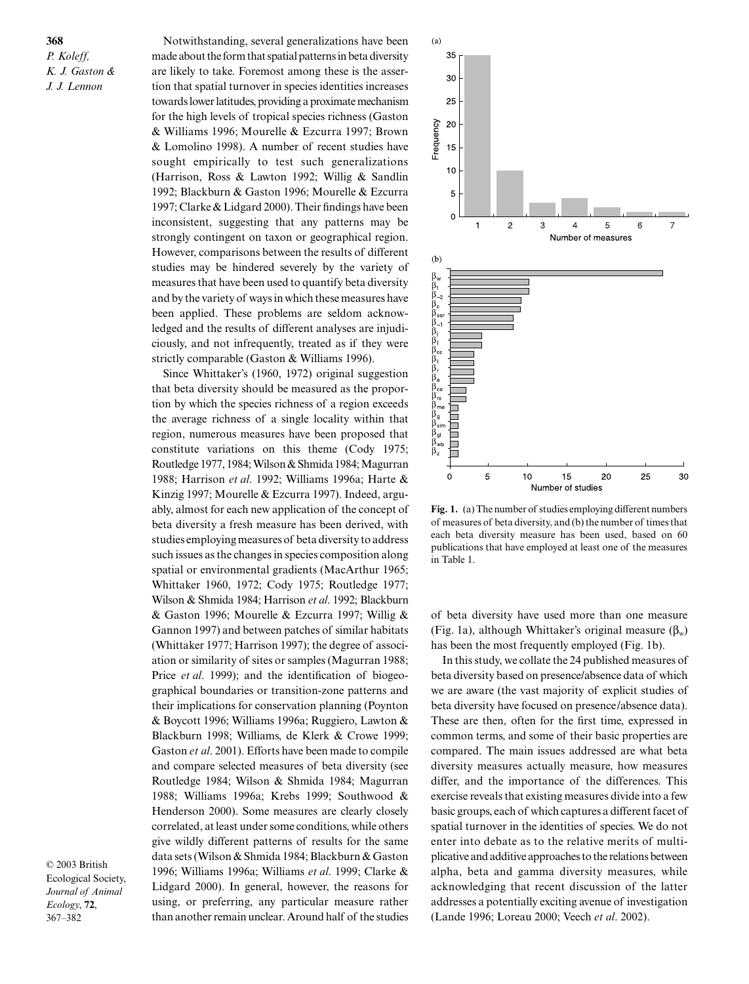**368**

Notwithstanding, several generalizations have been made about the form that spatial patterns in beta diversity are likely to take. Foremost among these is the assertion that spatial turnover in species identities increases towards lower latitudes, providing a proximate mechanism for the high levels of tropical species richness (Gaston & Williams 1996; Mourelle & Ezcurra 1997; Brown & Lomolino 1998). A number of recent studies have sought empirically to test such generalizations (Harrison, Ross & Lawton 1992; Willig & Sandlin 1992; Blackburn & Gaston 1996; Mourelle & Ezcurra 1997; Clarke & Lidgard 2000). Their findings have been inconsistent, suggesting that any patterns may be strongly contingent on taxon or geographical region. However, comparisons between the results of different studies may be hindered severely by the variety of measures that have been used to quantify beta diversity and by the variety of ways in which these measures have been applied. These problems are seldom acknowledged and the results of different analyses are injudiciously, and not infrequently, treated as if they were strictly comparable (Gaston & Williams 1996).

Since Whittaker's (1960, 1972) original suggestion that beta diversity should be measured as the proportion by which the species richness of a region exceeds the average richness of a single locality within that region, numerous measures have been proposed that constitute variations on this theme (Cody 1975; Routledge 1977, 1984; Wilson & Shmida 1984; Magurran 1988; Harrison *et al*. 1992; Williams 1996a; Harte & Kinzig 1997; Mourelle & Ezcurra 1997). Indeed, arguably, almost for each new application of the concept of beta diversity a fresh measure has been derived, with studies employing measures of beta diversity to address such issues as the changes in species composition along spatial or environmental gradients (MacArthur 1965; Whittaker 1960, 1972; Cody 1975; Routledge 1977; Wilson & Shmida 1984; Harrison *et al*. 1992; Blackburn & Gaston 1996; Mourelle & Ezcurra 1997; Willig & Gannon 1997) and between patches of similar habitats (Whittaker 1977; Harrison 1997); the degree of association or similarity of sites or samples (Magurran 1988; Price *et al.* 1999); and the identification of biogeographical boundaries or transition-zone patterns and their implications for conservation planning (Poynton & Boycott 1996; Williams 1996a; Ruggiero, Lawton & Blackburn 1998; Williams, de Klerk & Crowe 1999; Gaston *et al*. 2001). Efforts have been made to compile and compare selected measures of beta diversity (see Routledge 1984; Wilson & Shmida 1984; Magurran 1988; Williams 1996a; Krebs 1999; Southwood & Henderson 2000). Some measures are clearly closely correlated, at least under some conditions, while others give wildly different patterns of results for the same data sets (Wilson & Shmida 1984; Blackburn & Gaston 1996; Williams 1996a; Williams *et al*. 1999; Clarke & Lidgard 2000). In general, however, the reasons for using, or preferring, any particular measure rather than another remain unclear. Around half of the studies

© 2003 British Ecological Society, *Journal of Animal Ecology*, **72**, 367–382



**Fig. 1.** (a) The number of studies employing different numbers of measures of beta diversity, and (b) the number of times that each beta diversity measure has been used, based on 60 publications that have employed at least one of the measures in Table 1.

of beta diversity have used more than one measure (Fig. 1a), although Whittaker's original measure  $(\beta_w)$ has been the most frequently employed (Fig. 1b).

In this study, we collate the 24 published measures of beta diversity based on presence/absence data of which we are aware (the vast majority of explicit studies of beta diversity have focused on presence/absence data). These are then, often for the first time, expressed in common terms, and some of their basic properties are compared. The main issues addressed are what beta diversity measures actually measure, how measures differ, and the importance of the differences. This exercise reveals that existing measures divide into a few basic groups, each of which captures a different facet of spatial turnover in the identities of species. We do not enter into debate as to the relative merits of multiplicative and additive approaches to the relations between alpha, beta and gamma diversity measures, while acknowledging that recent discussion of the latter addresses a potentially exciting avenue of investigation (Lande 1996; Loreau 2000; Veech *et al*. 2002).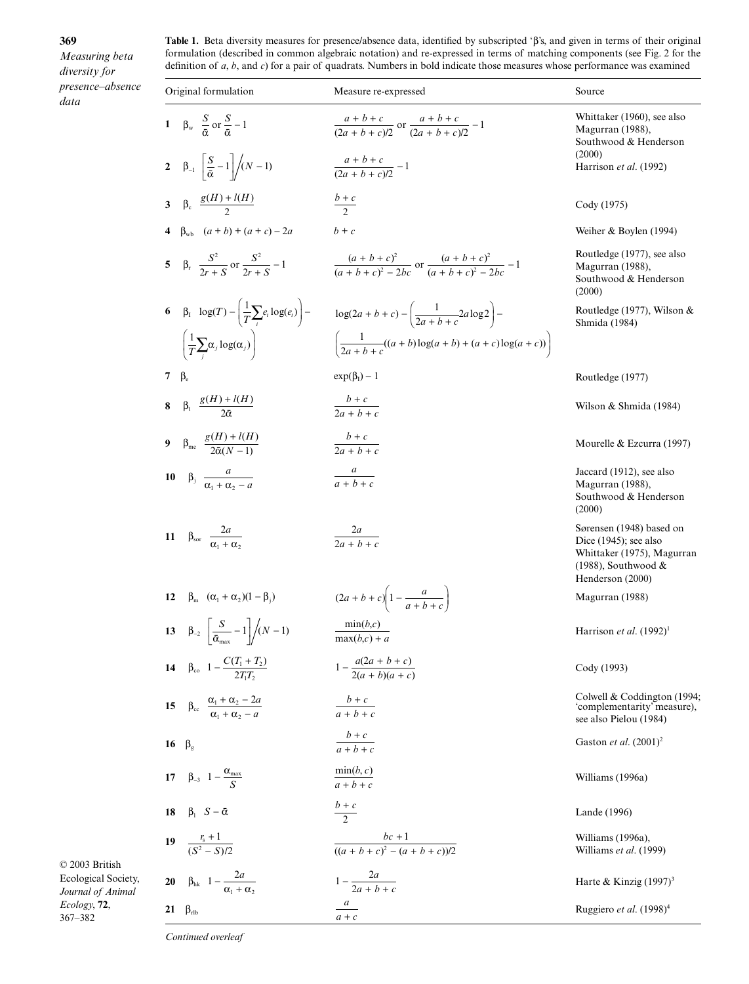**Table 1.** Beta diversity measures for presence/absence data, identified by subscripted 'β's, and given in terms of their original formulation (described in common algebraic notation) and re-expressed in terms of matching components (see Fig. 2 for the definition of *a*, *b*, and *c*) for a pair of quadrats. Numbers in bold indicate those measures whose performance was examined

| Original formulation                                                                                                                 | Measure re-expressed                                                                                                        | Source                                                                                                                           |
|--------------------------------------------------------------------------------------------------------------------------------------|-----------------------------------------------------------------------------------------------------------------------------|----------------------------------------------------------------------------------------------------------------------------------|
| $1 \quad \beta_w \frac{S}{\bar{\gamma}} \text{ or } \frac{S}{\bar{\gamma}} - 1$                                                      | $\frac{a+b+c}{(2a+b+c)/2}$ or $\frac{a+b+c}{(2a+b+c)/2} - 1$                                                                | Whittaker (1960), see also<br>Magurran (1988),<br>Southwood & Henderson                                                          |
| <b>2</b> $\beta_{-1} \left  \frac{S}{\bar{\alpha}} - 1 \right  / (N - 1)$                                                            | $\frac{a+b+c}{(2a+b+c)/2} - 1$                                                                                              | (2000)<br>Harrison et al. (1992)                                                                                                 |
| 3 $\beta_c \frac{g(H) + l(H)}{2}$                                                                                                    | $rac{b+c}{2}$                                                                                                               | Cody (1975)                                                                                                                      |
| 4 $\beta_{wb}$ $(a+b)+(a+c)-2a$                                                                                                      | $b + c$                                                                                                                     | Weiher & Boylen $(1994)$                                                                                                         |
| 5 $\beta_r \frac{S^2}{2r+S}$ or $\frac{S^2}{2r+S} - 1$                                                                               | $\frac{(a+b+c)^2}{(a+b+c)^2-2bc}$ or $\frac{(a+b+c)^2}{(a+b+c)^2-2bc} - 1$                                                  | Routledge (1977), see also<br>Magurran (1988),<br>Southwood & Henderson<br>(2000)                                                |
| 6 $\beta_I \log(T) - \left(\frac{1}{T}\sum e_i \log(e_i)\right) -$<br>$\left(\frac{1}{T}\sum_{j} \alpha_{j} \log(\alpha_{j})\right)$ | $\log(2a+b+c) - \left(\frac{1}{2a+b+c} 2a\log 2\right) -$<br>$\left(\frac{1}{2a+b+c}((a+b)\log(a+b)+(a+c)\log(a+c))\right)$ | Routledge (1977), Wilson $&$<br>Shmida (1984)                                                                                    |
| 7 $\beta_e$                                                                                                                          | $exp(\beta_1) - 1$                                                                                                          | Routledge (1977)                                                                                                                 |
| 8 $\beta_t \frac{g(H) + l(H)}{2\bar{\alpha}}$                                                                                        | $\frac{b+c}{2a+b+c}$                                                                                                        | Wilson & Shmida (1984)                                                                                                           |
| <b>9</b> $\beta_{\text{me}} \frac{g(H) + l(H)}{2\bar{\alpha}(N-1)}$                                                                  | $\frac{b+c}{2a+b+c}$                                                                                                        | Mourelle & Ezcurra (1997)                                                                                                        |
| 10 $\beta_j$ $\frac{a}{\alpha_i + \alpha_2 - a}$                                                                                     | $rac{a}{a+b+c}$                                                                                                             | Jaccard (1912), see also<br>Magurran (1988),<br>Southwood & Henderson<br>(2000)                                                  |
| 11 $\beta_{\text{sor}} \frac{2a}{\alpha + \alpha_{\text{s}}}$                                                                        | $\frac{2a}{2a + b + c}$                                                                                                     | Sørensen (1948) based on<br>Dice $(1945)$ ; see also<br>Whittaker (1975), Magurran<br>$(1988)$ , Southwood &<br>Henderson (2000) |
| $\beta_m$ $(\alpha_1 + \alpha_2)(1 - \beta_i)$<br>12                                                                                 | $(2a+b+c)\left(1-\frac{a}{a+b+c}\right)$                                                                                    | Magurran (1988)                                                                                                                  |
| 13 $\beta_{-2}$ $\left  \frac{S}{\bar{\alpha}} - 1 \right  / (N - 1)$                                                                | min(b,c)<br>$max(b,c) + a$                                                                                                  | Harrison et al. $(1992)^1$                                                                                                       |
| 14 $\beta_{\rm co}$ 1 - $\frac{C(T_1 + T_2)}{2TT_2}$                                                                                 | $1 - \frac{a(2a + b + c)}{2(a + b)(a + c)}$                                                                                 | Cody (1993)                                                                                                                      |
| 15 $\beta_{\text{cc}} \frac{\alpha_1 + \alpha_2 - 2a}{\alpha_1 + \alpha_2 - a}$                                                      | $\frac{b+c}{a+b+c}$                                                                                                         | Colwell & Coddington (1994;<br>'complementarity' measure),<br>see also Pielou (1984)                                             |
| 16 $\beta_{\rm g}$                                                                                                                   | $\frac{b+c}{a+b+c}$                                                                                                         | Gaston et al. $(2001)^2$                                                                                                         |
| 17 $\beta_{-3}$ 1 - $\frac{\alpha_{\text{max}}}{S}$                                                                                  | min(b, c)<br>$\overline{a+b+c}$                                                                                             | Williams (1996a)                                                                                                                 |
| $\beta_1$ $S - \bar{\alpha}$<br>18                                                                                                   | $rac{b+c}{2}$                                                                                                               | Lande (1996)                                                                                                                     |
| 19 $\frac{r_s+1}{(S^2-S)/2}$                                                                                                         | $\frac{bc + 1}{((a + b + c)^2 - (a + b + c))/2}$                                                                            | Williams (1996a),<br>Williams et al. (1999)                                                                                      |
| <b>20</b> $\beta_{hk}$ 1 - $\frac{2a}{\alpha_1 + \alpha_2}$                                                                          | $1-\frac{2a}{2a+b+c}$                                                                                                       | Harte & Kinzig $(1997)^3$                                                                                                        |
| 21 $\beta_{rlb}$                                                                                                                     | a<br>$a + c$                                                                                                                | Ruggiero et al. (1998) <sup>4</sup>                                                                                              |

 $\odot$  2003 British Ecological Society, *Journal of Animal Ecology*, **72**, 367–382

*Continued overleaf*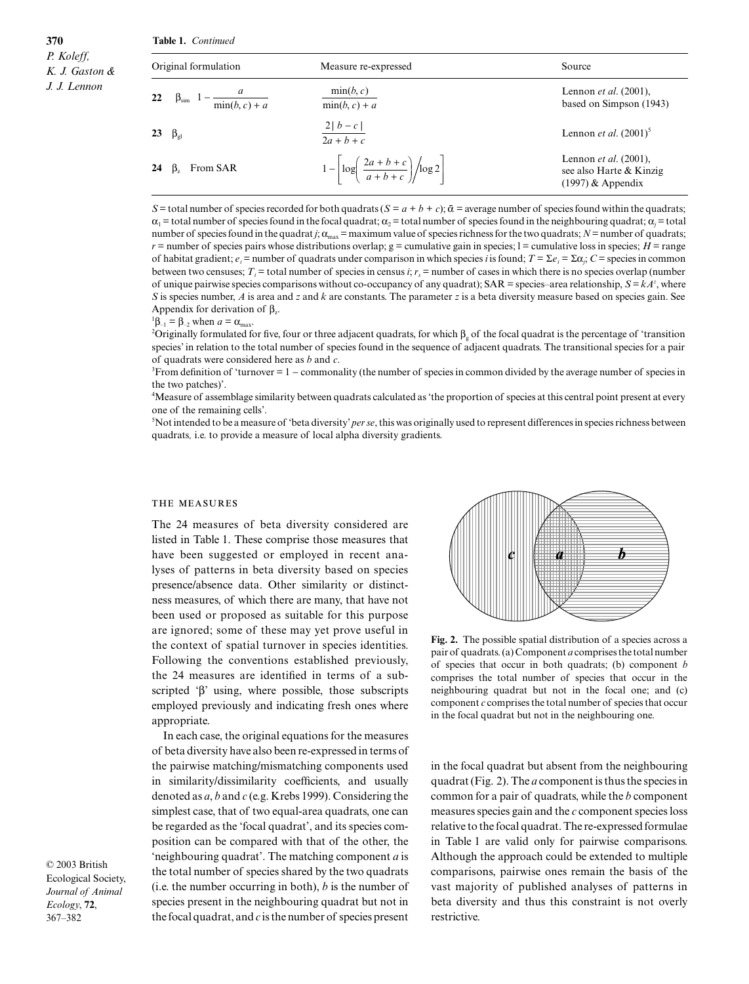**Table 1.** *Continued*

**370** *P. Koleff, K. J. Gaston & J. J. Lennon*

| Original formulation                                   | Measure re-expressed                                                        | Source                                                                            |
|--------------------------------------------------------|-----------------------------------------------------------------------------|-----------------------------------------------------------------------------------|
| 22 $\beta_{\text{sim}}$ 1 - $\frac{a}{\min(b, c) + a}$ | min(b, c)<br>$min(b, c) + a$                                                | Lennon <i>et al.</i> $(2001)$ ,<br>based on Simpson (1943)                        |
| 23 $\beta$ <sub>el</sub>                               | $\begin{array}{c c c c c c} 2 & b - c & \end{array}$<br>$\overline{2a+b+c}$ | Lennon et al. $(2001)^5$                                                          |
| From SAR<br>24 $\beta$ ,                               | $1 - \left  \log \left( \frac{2a+b+c}{a+b+c} \right) / \log 2 \right $      | Lennon <i>et al.</i> $(2001)$ ,<br>see also Harte & Kinzig<br>$(1997)$ & Appendix |

*S* = total number of species recorded for both quadrats (*S* =  $a + b + c$ );  $\bar{\alpha}$  = average number of species found within the quadrats;  $\alpha_1$  = total number of species found in the focal quadrat;  $\alpha_2$  = total number of species found in the neighbouring quadrat;  $\alpha_i$  = total number of species found in the quadrat *j*;  $\alpha_{\text{max}} = \text{maximum value of species richness for the two quadrats; } N = \text{number of quadrats; }$  $r =$  number of species pairs whose distributions overlap;  $g =$  cumulative gain in species;  $l =$  cumulative loss in species;  $H =$  range of habitat gradient;  $e_i$  = number of quadrats under comparison in which species *i* is found;  $T = \sum e_i = \sum \alpha_j$ ;  $C$  = species in common between two censuses;  $T_i$  = total number of species in census  $i, r_s$  = number of cases in which there is no species overlap (number of unique pairwise species comparisons without co-occupancy of any quadrat);  $SAR =$  species–area relationship,  $S = kA^2$ , where *S* is species number, *A* is area and *z* and *k* are constants. The parameter *z* is a beta diversity measure based on species gain. See Appendix for derivation of β<sub>z</sub>.

 ${}^{1}\beta_{-1} = \beta_{-2}$  when  $a = \alpha_{\text{max}}$ .

<sup>2</sup>Originally formulated for five, four or three adjacent quadrats, for which  $\beta_g$  of the focal quadrat is the percentage of 'transition species' in relation to the total number of species found in the sequence of adjacent quadrats. The transitional species for a pair of quadrats were considered here as *b* and *c*.

3 From definition of 'turnover = 1 − commonality (the number of species in common divided by the average number of species in the two patches)'.

4 Measure of assemblage similarity between quadrats calculated as 'the proportion of species at this central point present at every one of the remaining cells'.

5 Not intended to be a measure of 'beta diversity' *per se*, this was originally used to represent differences in species richness between quadrats*,* i.e. to provide a measure of local alpha diversity gradients.

# THE MEASURES

The 24 measures of beta diversity considered are listed in Table 1. These comprise those measures that have been suggested or employed in recent analyses of patterns in beta diversity based on species presence/absence data. Other similarity or distinctness measures, of which there are many, that have not been used or proposed as suitable for this purpose are ignored; some of these may yet prove useful in the context of spatial turnover in species identities. Following the conventions established previously, the 24 measures are identified in terms of a subscripted 'β' using, where possible, those subscripts employed previously and indicating fresh ones where appropriate.

In each case, the original equations for the measures of beta diversity have also been re-expressed in terms of the pairwise matching/mismatching components used in similarity/dissimilarity coefficients, and usually denoted as *a*, *b* and *c* (e.g. Krebs 1999). Considering the simplest case, that of two equal-area quadrats, one can be regarded as the 'focal quadrat', and its species composition can be compared with that of the other, the 'neighbouring quadrat'. The matching component *a* is the total number of species shared by the two quadrats (i.e. the number occurring in both), *b* is the number of species present in the neighbouring quadrat but not in the focal quadrat, and *c* is the number of species present

© 2003 British Ecological Society, *Journal of Animal Ecology*, **72**, 367–382



**Fig. 2.** The possible spatial distribution of a species across a pair of quadrats. (a) Component *a* comprises the total number of species that occur in both quadrats; (b) component *b* comprises the total number of species that occur in the neighbouring quadrat but not in the focal one; and (c) component *c* comprises the total number of species that occur in the focal quadrat but not in the neighbouring one.

in the focal quadrat but absent from the neighbouring quadrat (Fig. 2). The *a* component is thus the species in common for a pair of quadrats, while the *b* component measures species gain and the *c* component species loss relative to the focal quadrat. The re-expressed formulae in Table 1 are valid only for pairwise comparisons. Although the approach could be extended to multiple comparisons, pairwise ones remain the basis of the vast majority of published analyses of patterns in beta diversity and thus this constraint is not overly restrictive.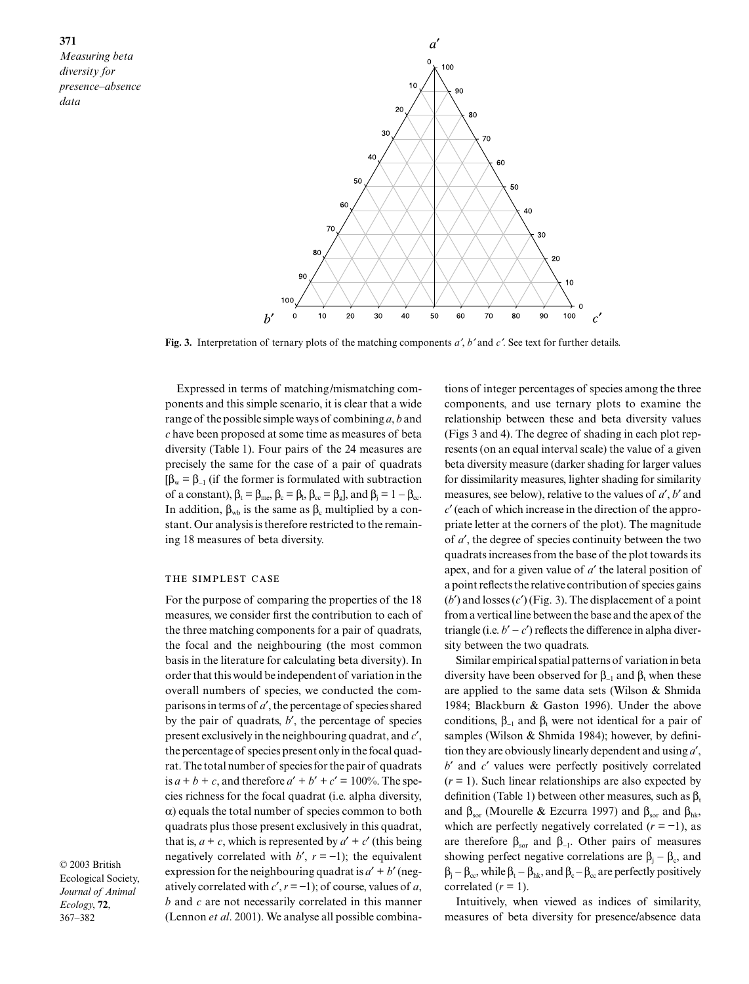

**Fig. 3.** Interpretation of ternary plots of the matching components *a*′, *b*′ and *c*′. See text for further details.

Expressed in terms of matching/mismatching components and this simple scenario, it is clear that a wide range of the possible simple ways of combining *a*, *b* and *c* have been proposed at some time as measures of beta diversity (Table 1). Four pairs of the 24 measures are precisely the same for the case of a pair of quadrats  $[\beta_w = \beta_{-1}]$  (if the former is formulated with subtraction of a constant),  $\beta_t = \beta_{\text{me}}$ ,  $\beta_c = \beta_l$ ,  $\beta_{\text{ce}} = \beta_{\text{gl}}$ , and  $\beta_j = 1 - \beta_{\text{ce}}$ . In addition,  $β<sub>wb</sub>$  is the same as  $β<sub>c</sub>$  multiplied by a constant. Our analysis is therefore restricted to the remaining 18 measures of beta diversity.

#### THE SIMPLEST CASE

For the purpose of comparing the properties of the 18 measures, we consider first the contribution to each of the three matching components for a pair of quadrats, the focal and the neighbouring (the most common basis in the literature for calculating beta diversity). In order that this would be independent of variation in the overall numbers of species, we conducted the comparisons in terms of *a*′, the percentage of species shared by the pair of quadrats, *b*′, the percentage of species present exclusively in the neighbouring quadrat, and *c*′, the percentage of species present only in the focal quadrat. The total number of species for the pair of quadrats is  $a + b + c$ , and therefore  $a' + b' + c' = 100\%$ . The species richness for the focal quadrat (i.e. alpha diversity,  $\alpha$ ) equals the total number of species common to both quadrats plus those present exclusively in this quadrat, that is,  $a + c$ , which is represented by  $a' + c'$  (this being negatively correlated with  $b'$ ,  $r = -1$ ); the equivalent expression for the neighbouring quadrat is  $a' + b'$  (negatively correlated with  $c'$ ,  $r = -1$ ); of course, values of *a*, *b* and *c* are not necessarily correlated in this manner (Lennon *et al*. 2001). We analyse all possible combina-

© 2003 British Ecological Society, *Journal of Animal Ecology*, **72**, 367–382

tions of integer percentages of species among the three components, and use ternary plots to examine the relationship between these and beta diversity values (Figs 3 and 4). The degree of shading in each plot represents (on an equal interval scale) the value of a given beta diversity measure (darker shading for larger values for dissimilarity measures, lighter shading for similarity measures, see below), relative to the values of *a*′, *b*′ and *c*′ (each of which increase in the direction of the appropriate letter at the corners of the plot). The magnitude of *a*′, the degree of species continuity between the two quadrats increases from the base of the plot towards its apex, and for a given value of *a*′ the lateral position of a point reflects the relative contribution of species gains (*b*′) and losses (*c*′) (Fig. 3). The displacement of a point from a vertical line between the base and the apex of the triangle (i.e.  $b' - c'$ ) reflects the difference in alpha diversity between the two quadrats.

Similar empirical spatial patterns of variation in beta diversity have been observed for  $\beta_{-1}$  and  $\beta_t$  when these are applied to the same data sets (Wilson & Shmida 1984; Blackburn & Gaston 1996). Under the above conditions,  $\beta_{-1}$  and  $\beta_t$  were not identical for a pair of samples (Wilson & Shmida 1984); however, by definition they are obviously linearly dependent and using *a*′, *b*′ and *c*′ values were perfectly positively correlated  $(r = 1)$ . Such linear relationships are also expected by definition (Table 1) between other measures, such as  $\beta_t$ and β<sub>sor</sub> (Mourelle & Ezcurra 1997) and β<sub>sor</sub> and β<sub>hk</sub>, which are perfectly negatively correlated  $(r = -1)$ , as are therefore  $β_{\text{sor}}$  and  $β_{-1}$ . Other pairs of measures showing perfect negative correlations are  $\beta_i - \beta_c$ , and  $\beta_j - \beta_{\rm cc}$ , while  $\beta_t - \beta_{\rm hk}$ , and  $\beta_c - \beta_{\rm cc}$  are perfectly positively correlated  $(r = 1)$ .

Intuitively, when viewed as indices of similarity, measures of beta diversity for presence/absence data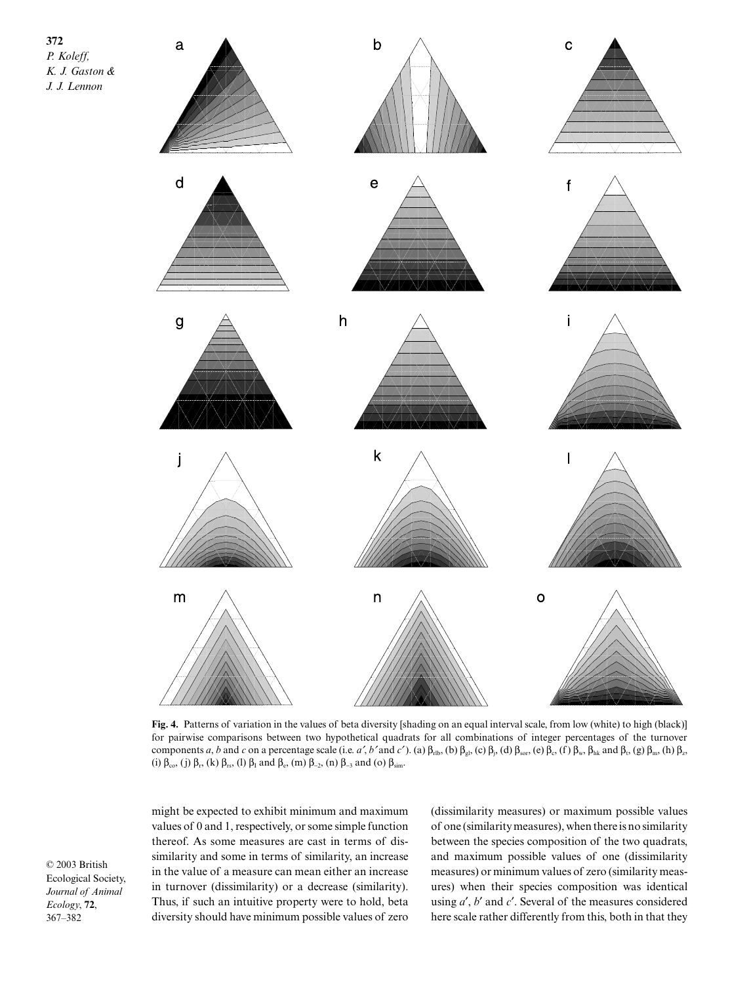



**Fig. 4.** Patterns of variation in the values of beta diversity [shading on an equal interval scale, from low (white) to high (black)] for pairwise comparisons between two hypothetical quadrats for all combinations of integer percentages of the turnover components *a*, *b* and *c* on a percentage scale (i.e. *a'*, *b'* and *c'*). (a)  $\beta_{\text{rlb}}$ , (c)  $\beta_{\text{glb}}$ , (c)  $\beta_{\text{p}}$ , (e)  $\beta_{\text{sof}}$ , (e)  $\beta_{\text{cv}}$ , (f)  $\beta_{\text{wb}}$ ,  $\beta_{\text{hlb}}$  and  $\beta_{\text{t}}$ , (g)  $\beta_{\text{lm}}$ , (i)  $\beta_{\rm co}$ , (j)  $\beta_{\rm r}$ , (k)  $\beta_{\rm rs}$ , (l)  $\beta_{\rm I}$  and  $\beta_{\rm e}$ , (m)  $\beta_{-2}$ , (n)  $\beta_{-3}$  and (o)  $\beta_{\rm sim}$ .

might be expected to exhibit minimum and maximum values of 0 and 1, respectively, or some simple function thereof. As some measures are cast in terms of dissimilarity and some in terms of similarity, an increase in the value of a measure can mean either an increase in turnover (dissimilarity) or a decrease (similarity). Thus, if such an intuitive property were to hold, beta diversity should have minimum possible values of zero (dissimilarity measures) or maximum possible values of one (similarity measures), when there is no similarity between the species composition of the two quadrats, and maximum possible values of one (dissimilarity measures) or minimum values of zero (similarity measures) when their species composition was identical using *a*′, *b*′ and *c*′. Several of the measures considered here scale rather differently from this, both in that they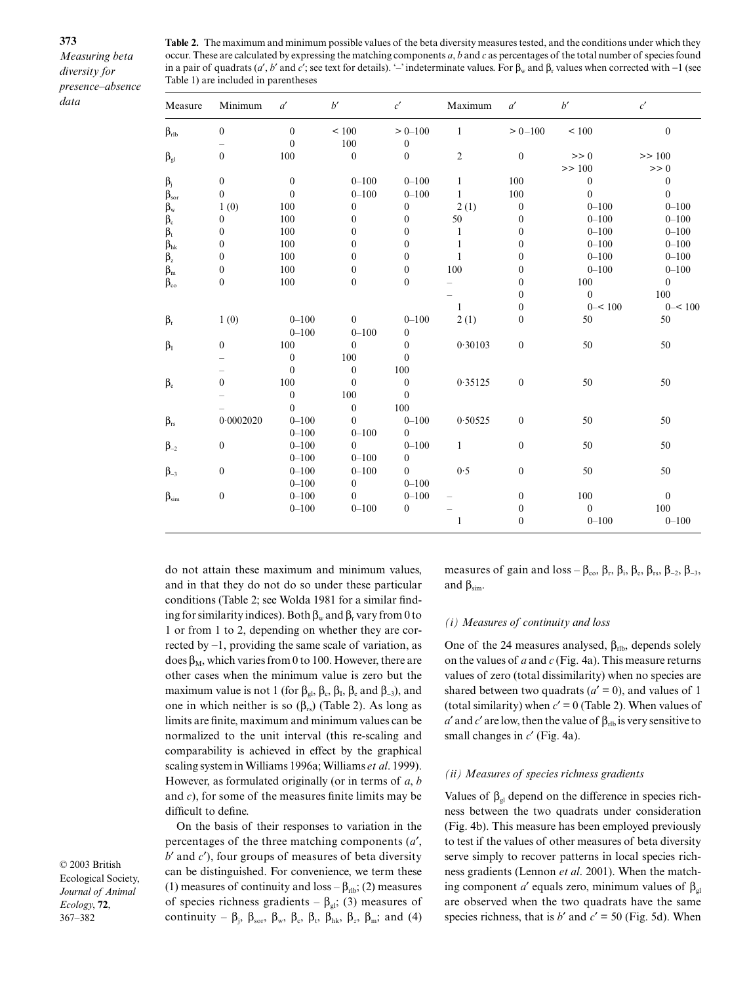**Table 2.** The maximum and minimum possible values of the beta diversity measures tested, and the conditions under which they occur. These are calculated by expressing the matching components *a*, *b* and *c* as percentages of the total number of species found in a pair of quadrats (*a'*, *b'* and *c'*; see text for details). '–' indeterminate values. For  $\beta_w$  and  $\beta_r$  values when corrected with −1 (see Table 1) are included in parentheses

| $\boldsymbol{0}$<br>$\mathbf{0}$<br>${}_{< 100}$<br>$\mathbf{1}$<br>$> 0 - 100$<br>${}_{< 100}$<br>$\boldsymbol{0}$<br>$> 0 - 100$<br>$\beta_{\text{rlb}}$<br>100<br>$\boldsymbol{0}$<br>$\boldsymbol{0}$<br>100<br>$\overline{2}$<br>$\beta_{\text{gl}}$<br>$\mathbf{0}$<br>$\boldsymbol{0}$<br>$\mathbf{0}$<br>$\boldsymbol{0}$<br>>> 100<br>$\gg 0$<br>>> 100<br>>> 0<br>$\begin{array}{l} \beta_j \\ \beta_{\text{sor}} \\ \beta_{\text{w}} \end{array}$<br>$\boldsymbol{0}$<br>$\boldsymbol{0}$<br>$0 - 100$<br>100<br>$\boldsymbol{0}$<br>$\boldsymbol{0}$<br>$0 - 100$<br>$\mathbf{1}$<br>100<br>$\mathbf{0}$<br>$0 - 100$<br>$0 - 100$<br>$\mathbf{0}$<br>$\mathbf{0}$<br>$\mathbf{0}$<br>$\mathbf{1}$<br>1(0)<br>2(1)<br>$\boldsymbol{0}$<br>100<br>$0 - 100$<br>0<br>$\theta$<br>$\begin{array}{l} \beta_c \\ \beta_t \\ \beta_{hk} \end{array}$<br>100<br>$\boldsymbol{0}$<br>50<br>$\boldsymbol{0}$<br>$0 - 100$<br>$\mathbf{0}$<br>0<br>100<br>$\mathbf{1}$<br>$\boldsymbol{0}$<br>$\boldsymbol{0}$<br>$\boldsymbol{0}$<br>$0 - 100$<br>$\mathbf{0}$<br>100<br>$\boldsymbol{0}$<br>$\boldsymbol{0}$<br>1<br>$0 - 100$<br>$\mathbf{0}$<br>$\boldsymbol{0}$<br>$\beta_z$<br>100<br>$\mathbf{1}$<br>$\boldsymbol{0}$<br>$\mathbf{0}$<br>$\boldsymbol{0}$<br>$\boldsymbol{0}$<br>$0 - 100$<br>$\beta_{\rm m}$<br>100<br>$\boldsymbol{0}$<br>100<br>$0 - 100$<br>$\boldsymbol{0}$<br>$\mathbf{0}$<br>$\boldsymbol{0}$<br>100<br>$\mathbf{0}$<br>$\beta_{\rm co}$<br>$\boldsymbol{0}$<br>$\boldsymbol{0}$<br>$\mathbf{0}$<br>100<br>$\boldsymbol{0}$<br>$\mathbf{0}$<br>100<br>$\boldsymbol{0}$<br>$0 - 100$<br>$\mathbf{1}$<br>$\boldsymbol{0}$<br>$\beta_{\rm r}$<br>1(0)<br>$0 - 100$<br>$0 - 100$<br>2(1)<br>50<br>50<br>$\mathbf{0}$<br>$\boldsymbol{0}$<br>$0 - 100$<br>$0 - 100$<br>$\mathbf{0}$<br>100<br>50<br>$\beta_I$<br>$\boldsymbol{0}$<br>$\mathbf{0}$<br>$\boldsymbol{0}$<br>0.30103<br>$\boldsymbol{0}$<br>50<br>$\boldsymbol{0}$<br>100<br>$\mathbf{0}$<br>$\boldsymbol{0}$<br>$\boldsymbol{0}$<br>100<br>$\beta_{\rm e}$<br>100<br>$\boldsymbol{0}$<br>$\mathbf{0}$<br>$\mathbf{0}$<br>0.35125<br>50<br>50<br>$\boldsymbol{0}$<br>$\mathbf{0}$<br>100<br>$\mathbf{0}$<br>100<br>$\mathbf{0}$<br>$\mathbf{0}$<br>$\beta_{\rm rs}$<br>0.0002020<br>$0 - 100$<br>0.50525<br>50<br>50<br>$0 - 100$<br>$\mathbf{0}$<br>$\boldsymbol{0}$<br>$0 - 100$<br>$0 - 100$<br>$\mathbf{0}$<br>$\boldsymbol{0}$<br>$\mathbf{1}$<br>50<br>50<br>$\beta_{-2}$<br>$0 - 100$<br>$0 - 100$<br>$\boldsymbol{0}$<br>$\boldsymbol{0}$<br>$0 - 100$<br>$0 - 100$<br>$\mathbf{0}$<br>$\mathbf{0}$<br>$0 - 100$<br>0.5<br>50<br>50<br>$0 - 100$<br>$\overline{0}$<br>$\mathbf{0}$ | Measure      | Minimum | $a^{\prime}$ | b' | $c^{\prime}$ | Maximum | $a^{\prime}$ | b' | c'        |
|-----------------------------------------------------------------------------------------------------------------------------------------------------------------------------------------------------------------------------------------------------------------------------------------------------------------------------------------------------------------------------------------------------------------------------------------------------------------------------------------------------------------------------------------------------------------------------------------------------------------------------------------------------------------------------------------------------------------------------------------------------------------------------------------------------------------------------------------------------------------------------------------------------------------------------------------------------------------------------------------------------------------------------------------------------------------------------------------------------------------------------------------------------------------------------------------------------------------------------------------------------------------------------------------------------------------------------------------------------------------------------------------------------------------------------------------------------------------------------------------------------------------------------------------------------------------------------------------------------------------------------------------------------------------------------------------------------------------------------------------------------------------------------------------------------------------------------------------------------------------------------------------------------------------------------------------------------------------------------------------------------------------------------------------------------------------------------------------------------------------------------------------------------------------------------------------------------------------------------------------------------------------------------------------------------------------------------------------------------------------------------------------------------------------------------------------------------------------------------------------------------------------------------------------------------------------------------------------------------------------------------------------------------------------------------------|--------------|---------|--------------|----|--------------|---------|--------------|----|-----------|
|                                                                                                                                                                                                                                                                                                                                                                                                                                                                                                                                                                                                                                                                                                                                                                                                                                                                                                                                                                                                                                                                                                                                                                                                                                                                                                                                                                                                                                                                                                                                                                                                                                                                                                                                                                                                                                                                                                                                                                                                                                                                                                                                                                                                                                                                                                                                                                                                                                                                                                                                                                                                                                                                                   |              |         |              |    |              |         |              |    |           |
|                                                                                                                                                                                                                                                                                                                                                                                                                                                                                                                                                                                                                                                                                                                                                                                                                                                                                                                                                                                                                                                                                                                                                                                                                                                                                                                                                                                                                                                                                                                                                                                                                                                                                                                                                                                                                                                                                                                                                                                                                                                                                                                                                                                                                                                                                                                                                                                                                                                                                                                                                                                                                                                                                   |              |         |              |    |              |         |              |    |           |
|                                                                                                                                                                                                                                                                                                                                                                                                                                                                                                                                                                                                                                                                                                                                                                                                                                                                                                                                                                                                                                                                                                                                                                                                                                                                                                                                                                                                                                                                                                                                                                                                                                                                                                                                                                                                                                                                                                                                                                                                                                                                                                                                                                                                                                                                                                                                                                                                                                                                                                                                                                                                                                                                                   |              |         |              |    |              |         |              |    |           |
|                                                                                                                                                                                                                                                                                                                                                                                                                                                                                                                                                                                                                                                                                                                                                                                                                                                                                                                                                                                                                                                                                                                                                                                                                                                                                                                                                                                                                                                                                                                                                                                                                                                                                                                                                                                                                                                                                                                                                                                                                                                                                                                                                                                                                                                                                                                                                                                                                                                                                                                                                                                                                                                                                   |              |         |              |    |              |         |              |    |           |
|                                                                                                                                                                                                                                                                                                                                                                                                                                                                                                                                                                                                                                                                                                                                                                                                                                                                                                                                                                                                                                                                                                                                                                                                                                                                                                                                                                                                                                                                                                                                                                                                                                                                                                                                                                                                                                                                                                                                                                                                                                                                                                                                                                                                                                                                                                                                                                                                                                                                                                                                                                                                                                                                                   |              |         |              |    |              |         |              |    |           |
|                                                                                                                                                                                                                                                                                                                                                                                                                                                                                                                                                                                                                                                                                                                                                                                                                                                                                                                                                                                                                                                                                                                                                                                                                                                                                                                                                                                                                                                                                                                                                                                                                                                                                                                                                                                                                                                                                                                                                                                                                                                                                                                                                                                                                                                                                                                                                                                                                                                                                                                                                                                                                                                                                   |              |         |              |    |              |         |              |    |           |
|                                                                                                                                                                                                                                                                                                                                                                                                                                                                                                                                                                                                                                                                                                                                                                                                                                                                                                                                                                                                                                                                                                                                                                                                                                                                                                                                                                                                                                                                                                                                                                                                                                                                                                                                                                                                                                                                                                                                                                                                                                                                                                                                                                                                                                                                                                                                                                                                                                                                                                                                                                                                                                                                                   |              |         |              |    |              |         |              |    | $0 - 100$ |
|                                                                                                                                                                                                                                                                                                                                                                                                                                                                                                                                                                                                                                                                                                                                                                                                                                                                                                                                                                                                                                                                                                                                                                                                                                                                                                                                                                                                                                                                                                                                                                                                                                                                                                                                                                                                                                                                                                                                                                                                                                                                                                                                                                                                                                                                                                                                                                                                                                                                                                                                                                                                                                                                                   |              |         |              |    |              |         |              |    | $0 - 100$ |
|                                                                                                                                                                                                                                                                                                                                                                                                                                                                                                                                                                                                                                                                                                                                                                                                                                                                                                                                                                                                                                                                                                                                                                                                                                                                                                                                                                                                                                                                                                                                                                                                                                                                                                                                                                                                                                                                                                                                                                                                                                                                                                                                                                                                                                                                                                                                                                                                                                                                                                                                                                                                                                                                                   |              |         |              |    |              |         |              |    | $0 - 100$ |
|                                                                                                                                                                                                                                                                                                                                                                                                                                                                                                                                                                                                                                                                                                                                                                                                                                                                                                                                                                                                                                                                                                                                                                                                                                                                                                                                                                                                                                                                                                                                                                                                                                                                                                                                                                                                                                                                                                                                                                                                                                                                                                                                                                                                                                                                                                                                                                                                                                                                                                                                                                                                                                                                                   |              |         |              |    |              |         |              |    | $0 - 100$ |
|                                                                                                                                                                                                                                                                                                                                                                                                                                                                                                                                                                                                                                                                                                                                                                                                                                                                                                                                                                                                                                                                                                                                                                                                                                                                                                                                                                                                                                                                                                                                                                                                                                                                                                                                                                                                                                                                                                                                                                                                                                                                                                                                                                                                                                                                                                                                                                                                                                                                                                                                                                                                                                                                                   |              |         |              |    |              |         |              |    | $0 - 100$ |
|                                                                                                                                                                                                                                                                                                                                                                                                                                                                                                                                                                                                                                                                                                                                                                                                                                                                                                                                                                                                                                                                                                                                                                                                                                                                                                                                                                                                                                                                                                                                                                                                                                                                                                                                                                                                                                                                                                                                                                                                                                                                                                                                                                                                                                                                                                                                                                                                                                                                                                                                                                                                                                                                                   |              |         |              |    |              |         |              |    | $0 - 100$ |
|                                                                                                                                                                                                                                                                                                                                                                                                                                                                                                                                                                                                                                                                                                                                                                                                                                                                                                                                                                                                                                                                                                                                                                                                                                                                                                                                                                                                                                                                                                                                                                                                                                                                                                                                                                                                                                                                                                                                                                                                                                                                                                                                                                                                                                                                                                                                                                                                                                                                                                                                                                                                                                                                                   |              |         |              |    |              |         |              |    |           |
|                                                                                                                                                                                                                                                                                                                                                                                                                                                                                                                                                                                                                                                                                                                                                                                                                                                                                                                                                                                                                                                                                                                                                                                                                                                                                                                                                                                                                                                                                                                                                                                                                                                                                                                                                                                                                                                                                                                                                                                                                                                                                                                                                                                                                                                                                                                                                                                                                                                                                                                                                                                                                                                                                   |              |         |              |    |              |         |              |    |           |
|                                                                                                                                                                                                                                                                                                                                                                                                                                                                                                                                                                                                                                                                                                                                                                                                                                                                                                                                                                                                                                                                                                                                                                                                                                                                                                                                                                                                                                                                                                                                                                                                                                                                                                                                                                                                                                                                                                                                                                                                                                                                                                                                                                                                                                                                                                                                                                                                                                                                                                                                                                                                                                                                                   |              |         |              |    |              |         |              |    | $0 - 100$ |
|                                                                                                                                                                                                                                                                                                                                                                                                                                                                                                                                                                                                                                                                                                                                                                                                                                                                                                                                                                                                                                                                                                                                                                                                                                                                                                                                                                                                                                                                                                                                                                                                                                                                                                                                                                                                                                                                                                                                                                                                                                                                                                                                                                                                                                                                                                                                                                                                                                                                                                                                                                                                                                                                                   |              |         |              |    |              |         |              |    |           |
|                                                                                                                                                                                                                                                                                                                                                                                                                                                                                                                                                                                                                                                                                                                                                                                                                                                                                                                                                                                                                                                                                                                                                                                                                                                                                                                                                                                                                                                                                                                                                                                                                                                                                                                                                                                                                                                                                                                                                                                                                                                                                                                                                                                                                                                                                                                                                                                                                                                                                                                                                                                                                                                                                   |              |         |              |    |              |         |              |    |           |
|                                                                                                                                                                                                                                                                                                                                                                                                                                                                                                                                                                                                                                                                                                                                                                                                                                                                                                                                                                                                                                                                                                                                                                                                                                                                                                                                                                                                                                                                                                                                                                                                                                                                                                                                                                                                                                                                                                                                                                                                                                                                                                                                                                                                                                                                                                                                                                                                                                                                                                                                                                                                                                                                                   |              |         |              |    |              |         |              |    |           |
|                                                                                                                                                                                                                                                                                                                                                                                                                                                                                                                                                                                                                                                                                                                                                                                                                                                                                                                                                                                                                                                                                                                                                                                                                                                                                                                                                                                                                                                                                                                                                                                                                                                                                                                                                                                                                                                                                                                                                                                                                                                                                                                                                                                                                                                                                                                                                                                                                                                                                                                                                                                                                                                                                   |              |         |              |    |              |         |              |    |           |
|                                                                                                                                                                                                                                                                                                                                                                                                                                                                                                                                                                                                                                                                                                                                                                                                                                                                                                                                                                                                                                                                                                                                                                                                                                                                                                                                                                                                                                                                                                                                                                                                                                                                                                                                                                                                                                                                                                                                                                                                                                                                                                                                                                                                                                                                                                                                                                                                                                                                                                                                                                                                                                                                                   |              |         |              |    |              |         |              |    |           |
|                                                                                                                                                                                                                                                                                                                                                                                                                                                                                                                                                                                                                                                                                                                                                                                                                                                                                                                                                                                                                                                                                                                                                                                                                                                                                                                                                                                                                                                                                                                                                                                                                                                                                                                                                                                                                                                                                                                                                                                                                                                                                                                                                                                                                                                                                                                                                                                                                                                                                                                                                                                                                                                                                   |              |         |              |    |              |         |              |    |           |
|                                                                                                                                                                                                                                                                                                                                                                                                                                                                                                                                                                                                                                                                                                                                                                                                                                                                                                                                                                                                                                                                                                                                                                                                                                                                                                                                                                                                                                                                                                                                                                                                                                                                                                                                                                                                                                                                                                                                                                                                                                                                                                                                                                                                                                                                                                                                                                                                                                                                                                                                                                                                                                                                                   |              |         |              |    |              |         |              |    |           |
|                                                                                                                                                                                                                                                                                                                                                                                                                                                                                                                                                                                                                                                                                                                                                                                                                                                                                                                                                                                                                                                                                                                                                                                                                                                                                                                                                                                                                                                                                                                                                                                                                                                                                                                                                                                                                                                                                                                                                                                                                                                                                                                                                                                                                                                                                                                                                                                                                                                                                                                                                                                                                                                                                   |              |         |              |    |              |         |              |    |           |
|                                                                                                                                                                                                                                                                                                                                                                                                                                                                                                                                                                                                                                                                                                                                                                                                                                                                                                                                                                                                                                                                                                                                                                                                                                                                                                                                                                                                                                                                                                                                                                                                                                                                                                                                                                                                                                                                                                                                                                                                                                                                                                                                                                                                                                                                                                                                                                                                                                                                                                                                                                                                                                                                                   |              |         |              |    |              |         |              |    |           |
|                                                                                                                                                                                                                                                                                                                                                                                                                                                                                                                                                                                                                                                                                                                                                                                                                                                                                                                                                                                                                                                                                                                                                                                                                                                                                                                                                                                                                                                                                                                                                                                                                                                                                                                                                                                                                                                                                                                                                                                                                                                                                                                                                                                                                                                                                                                                                                                                                                                                                                                                                                                                                                                                                   |              |         |              |    |              |         |              |    |           |
|                                                                                                                                                                                                                                                                                                                                                                                                                                                                                                                                                                                                                                                                                                                                                                                                                                                                                                                                                                                                                                                                                                                                                                                                                                                                                                                                                                                                                                                                                                                                                                                                                                                                                                                                                                                                                                                                                                                                                                                                                                                                                                                                                                                                                                                                                                                                                                                                                                                                                                                                                                                                                                                                                   |              |         |              |    |              |         |              |    |           |
|                                                                                                                                                                                                                                                                                                                                                                                                                                                                                                                                                                                                                                                                                                                                                                                                                                                                                                                                                                                                                                                                                                                                                                                                                                                                                                                                                                                                                                                                                                                                                                                                                                                                                                                                                                                                                                                                                                                                                                                                                                                                                                                                                                                                                                                                                                                                                                                                                                                                                                                                                                                                                                                                                   |              |         |              |    |              |         |              |    |           |
|                                                                                                                                                                                                                                                                                                                                                                                                                                                                                                                                                                                                                                                                                                                                                                                                                                                                                                                                                                                                                                                                                                                                                                                                                                                                                                                                                                                                                                                                                                                                                                                                                                                                                                                                                                                                                                                                                                                                                                                                                                                                                                                                                                                                                                                                                                                                                                                                                                                                                                                                                                                                                                                                                   | $\beta_{-3}$ |         |              |    |              |         |              |    |           |
| $0 - 100$<br>$0 - 100$<br>$\mathbf{0}$                                                                                                                                                                                                                                                                                                                                                                                                                                                                                                                                                                                                                                                                                                                                                                                                                                                                                                                                                                                                                                                                                                                                                                                                                                                                                                                                                                                                                                                                                                                                                                                                                                                                                                                                                                                                                                                                                                                                                                                                                                                                                                                                                                                                                                                                                                                                                                                                                                                                                                                                                                                                                                            |              |         |              |    |              |         |              |    |           |
| 100<br>$\mathbf{0}$<br>$\beta_{sim}$<br>$\boldsymbol{0}$<br>$0 - 100$<br>$0 - 100$<br>$\mathbf{0}$<br>$\theta$                                                                                                                                                                                                                                                                                                                                                                                                                                                                                                                                                                                                                                                                                                                                                                                                                                                                                                                                                                                                                                                                                                                                                                                                                                                                                                                                                                                                                                                                                                                                                                                                                                                                                                                                                                                                                                                                                                                                                                                                                                                                                                                                                                                                                                                                                                                                                                                                                                                                                                                                                                    |              |         |              |    |              |         |              |    |           |
| 100<br>$0 - 100$<br>$0 - 100$<br>$\boldsymbol{0}$<br>$\boldsymbol{0}$<br>$\boldsymbol{0}$                                                                                                                                                                                                                                                                                                                                                                                                                                                                                                                                                                                                                                                                                                                                                                                                                                                                                                                                                                                                                                                                                                                                                                                                                                                                                                                                                                                                                                                                                                                                                                                                                                                                                                                                                                                                                                                                                                                                                                                                                                                                                                                                                                                                                                                                                                                                                                                                                                                                                                                                                                                         |              |         |              |    |              |         |              |    |           |
| $0 - 100$<br>$\boldsymbol{0}$<br>1                                                                                                                                                                                                                                                                                                                                                                                                                                                                                                                                                                                                                                                                                                                                                                                                                                                                                                                                                                                                                                                                                                                                                                                                                                                                                                                                                                                                                                                                                                                                                                                                                                                                                                                                                                                                                                                                                                                                                                                                                                                                                                                                                                                                                                                                                                                                                                                                                                                                                                                                                                                                                                                |              |         |              |    |              |         |              |    | $0 - 100$ |

do not attain these maximum and minimum values, and in that they do not do so under these particular conditions (Table 2; see Wolda 1981 for a similar finding for similarity indices). Both  $\beta_w$  and  $\beta_r$  vary from 0 to 1 or from 1 to 2, depending on whether they are corrected by −1, providing the same scale of variation, as does  $β<sub>M</sub>$ , which varies from 0 to 100. However, there are other cases when the minimum value is zero but the maximum value is not 1 (for  $\beta_{\alpha}$ ,  $\beta_c$ ,  $\beta_t$ ,  $\beta_e$  and  $\beta_{-3}$ ), and one in which neither is so  $(\beta_{rs})$  (Table 2). As long as limits are finite, maximum and minimum values can be normalized to the unit interval (this re-scaling and comparability is achieved in effect by the graphical scaling system in Williams 1996a; Williams *et al*. 1999). However, as formulated originally (or in terms of *a*, *b* and *c*), for some of the measures finite limits may be difficult to define.

On the basis of their responses to variation in the percentages of the three matching components (*a*′, *b*′ and *c*′), four groups of measures of beta diversity can be distinguished. For convenience, we term these (1) measures of continuity and loss –  $\beta_{\text{rlb}}$ ; (2) measures of species richness gradients –  $\beta_{gl}$ ; (3) measures of continuity –  $\beta_j$ ,  $\beta_{\text{sor}}$ ,  $\beta_w$ ,  $\beta_c$ ,  $\beta_t$ ,  $\beta_{hk}$ ,  $\beta_z$ ,  $\beta_m$ ; and (4)

measures of gain and loss –  $\beta_{\rm co}$ ,  $\beta_{\rm r}$ ,  $\beta_{\rm i}$ ,  $\beta_{\rm e}$ ,  $\beta_{\rm rs}$ ,  $\beta_{-2}$ ,  $\beta_{-3}$ , and  $β_{sim}$ .

### *(i) Measures of continuity and loss*

One of the 24 measures analysed,  $β<sub>rlb</sub>$ , depends solely on the values of *a* and *c* (Fig. 4a). This measure returns values of zero (total dissimilarity) when no species are shared between two quadrats  $(a' = 0)$ , and values of 1 (total similarity) when  $c' = 0$  (Table 2). When values of  $a'$  and *c*' are low, then the value of  $\beta_{\text{rib}}$  is very sensitive to small changes in *c*′ (Fig. 4a).

#### *(ii) Measures of species richness gradients*

Values of  $\beta_{gl}$  depend on the difference in species richness between the two quadrats under consideration (Fig. 4b). This measure has been employed previously to test if the values of other measures of beta diversity serve simply to recover patterns in local species richness gradients (Lennon *et al*. 2001). When the matching component *a'* equals zero, minimum values of  $β_{\varphi}$ are observed when the two quadrats have the same species richness, that is  $b'$  and  $c' = 50$  (Fig. 5d). When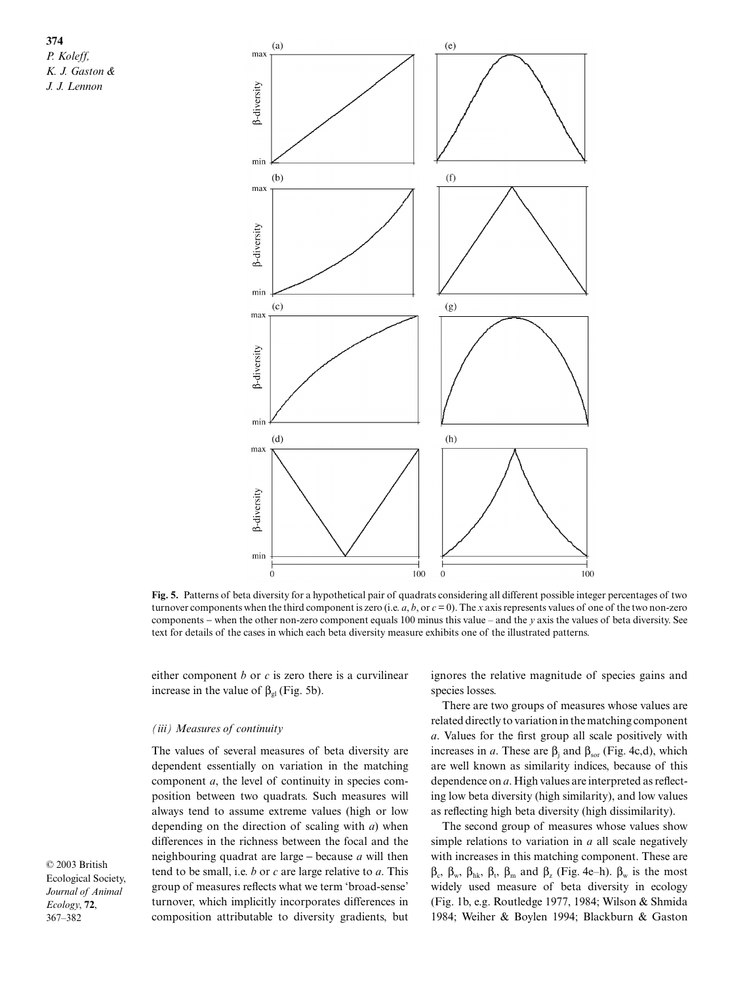

**Fig. 5.** Patterns of beta diversity for a hypothetical pair of quadrats considering all different possible integer percentages of two turnover components when the third component is zero (i.e. *a*, *b*, or *c* = 0). The *x* axis represents values of one of the two non-zero components − when the other non-zero component equals 100 minus this value – and the *y* axis the values of beta diversity. See text for details of the cases in which each beta diversity measure exhibits one of the illustrated patterns.

either component *b* or *c* is zero there is a curvilinear increase in the value of  $β_{\alpha}$  (Fig. 5b).

# *(iii) Measures of continuity*

The values of several measures of beta diversity are dependent essentially on variation in the matching component *a*, the level of continuity in species composition between two quadrats. Such measures will always tend to assume extreme values (high or low depending on the direction of scaling with *a*) when differences in the richness between the focal and the neighbouring quadrat are large − because *a* will then tend to be small, i.e. *b* or *c* are large relative to *a*. This group of measures reflects what we term 'broad-sense' turnover, which implicitly incorporates differences in composition attributable to diversity gradients, but

ignores the relative magnitude of species gains and species losses.

There are two groups of measures whose values are related directly to variation in the matching component *a*. Values for the first group all scale positively with increases in *a*. These are  $\beta_i$  and  $\beta_{\text{tor}}$  (Fig. 4c,d), which are well known as similarity indices, because of this dependence on *a*. High values are interpreted as reflecting low beta diversity (high similarity), and low values as reflecting high beta diversity (high dissimilarity).

The second group of measures whose values show simple relations to variation in *a* all scale negatively with increases in this matching component. These are  $β<sub>c</sub>, β<sub>w</sub>, β<sub>hk</sub>, β<sub>t</sub>, β<sub>m</sub>$  and  $β<sub>z</sub>$  (Fig. 4e–h).  $β<sub>w</sub>$  is the most widely used measure of beta diversity in ecology (Fig. 1b, e.g. Routledge 1977, 1984; Wilson & Shmida 1984; Weiher & Boylen 1994; Blackburn & Gaston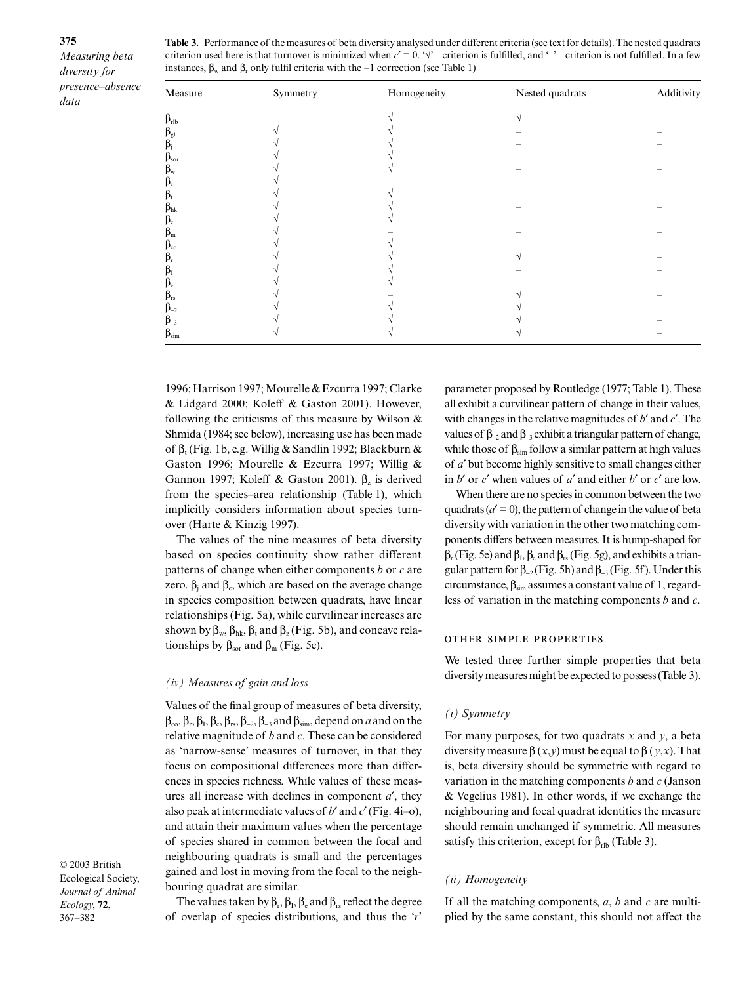| <b>Table 3.</b> Performance of the measures of beta diversity analysed under different criteria (see text for details). The nested quadrats           |
|-------------------------------------------------------------------------------------------------------------------------------------------------------|
| criterion used here is that turnover is minimized when $c' = 0$ . $\sqrt{v}$ – criterion is fulfilled, and $-$ – criterion is not fulfilled. In a few |
| instances, $\beta_w$ and $\beta_r$ only fulfil criteria with the $-1$ correction (see Table 1)                                                        |

| Measure              | Symmetry | Homogeneity | Nested quadrats | Additivity |
|----------------------|----------|-------------|-----------------|------------|
| $\beta_{\text{rlb}}$ |          |             |                 |            |
| $\beta_{\rm gl}$     |          |             |                 |            |
| $\beta_{\rm j}$      |          |             |                 |            |
| $\beta_{\text{sor}}$ |          |             |                 |            |
| $\beta_{\rm w}$      |          |             |                 |            |
| $\beta_{\rm c}$      |          |             |                 |            |
| $\beta_{t}$          |          |             |                 |            |
| $\beta_{\rm hk}$     |          |             |                 |            |
| $\beta_z$            |          |             |                 |            |
| $\beta_{\rm m}$      |          |             |                 |            |
| $\beta_{\rm co}$     |          |             |                 |            |
| $\beta_{\rm r}$      |          |             |                 |            |
| $\beta_{\rm I}$      |          |             |                 |            |
| $\beta_{\rm e}$      |          |             |                 |            |
| $\beta_{rs}$         |          |             |                 |            |
| $\beta_{-2}$         |          |             |                 |            |
| $\beta_{-3}$         |          |             |                 |            |
| $\beta_{\text{sim}}$ |          |             |                 |            |

1996; Harrison 1997; Mourelle & Ezcurra 1997; Clarke & Lidgard 2000; Koleff & Gaston 2001). However, following the criticisms of this measure by Wilson & Shmida (1984; see below), increasing use has been made of β<sup>t</sup> (Fig. 1b, e.g. Willig & Sandlin 1992; Blackburn & Gaston 1996; Mourelle & Ezcurra 1997; Willig & Gannon 1997; Koleff & Gaston 2001).  $\beta$ <sub>z</sub> is derived from the species–area relationship (Table 1), which implicitly considers information about species turnover (Harte & Kinzig 1997).

The values of the nine measures of beta diversity based on species continuity show rather different patterns of change when either components *b* or *c* are zero.  $β$ <sub>i</sub> and  $β$ <sub>c</sub>, which are based on the average change in species composition between quadrats, have linear relationships (Fig. 5a), while curvilinear increases are shown by  $\beta_w$ ,  $\beta_{hk}$ ,  $\beta_t$  and  $\beta_z$  (Fig. 5b), and concave relationships by  $\beta_{\text{spr}}$  and  $\beta_{\text{m}}$  (Fig. 5c).

# *(iv) Measures of gain and loss*

Values of the final group of measures of beta diversity,  $β<sub>co</sub>, β<sub>r</sub>, β<sub>t</sub>, β<sub>es</sub>, β<sub>rs</sub>, β<sub>-2</sub>, β<sub>-3</sub>$  and  $β<sub>sim</sub>$ , depend on *a* and on the relative magnitude of *b* and *c*. These can be considered as 'narrow-sense' measures of turnover, in that they focus on compositional differences more than differences in species richness. While values of these measures all increase with declines in component *a*′, they also peak at intermediate values of *b*′ and *c*′(Fig. 4i–o), and attain their maximum values when the percentage of species shared in common between the focal and neighbouring quadrats is small and the percentages gained and lost in moving from the focal to the neighbouring quadrat are similar.

© 2003 British Ecological Society, *Journal of Animal Ecology*, **72**, 367–382

The values taken by  $\beta_r$ ,  $\beta_l$ ,  $\beta_e$  and  $\beta_{rs}$  reflect the degree of overlap of species distributions, and thus the '*r*' parameter proposed by Routledge (1977; Table 1). These all exhibit a curvilinear pattern of change in their values, with changes in the relative magnitudes of *b*′ and *c*′. The values of  $β_2$  and  $β_3$  exhibit a triangular pattern of change, while those of  $\beta_{sim}$  follow a similar pattern at high values of *a*′ but become highly sensitive to small changes either in *b*′ or *c*′ when values of *a*′ and either *b*′ or *c*′ are low.

When there are no species in common between the two quadrats  $(a' = 0)$ , the pattern of change in the value of beta diversity with variation in the other two matching components differs between measures. It is hump-shaped for  $β<sub>r</sub>$  (Fig. 5e) and  $β<sub>1</sub>$ ,  $β<sub>e</sub>$  and  $β<sub>rs</sub>$  (Fig. 5g), and exhibits a triangular pattern for  $\beta_{-2}$  (Fig. 5h) and  $\beta_{-3}$  (Fig. 5f). Under this circumstance,  $\beta_{sim}$  assumes a constant value of 1, regardless of variation in the matching components *b* and *c*.

#### OTHER SIMPLE PROPERTIES

We tested three further simple properties that beta diversity measures might be expected to possess (Table 3).

# *(i) Symmetry*

For many purposes, for two quadrats *x* and *y*, a beta diversity measure β (*x*,*y*) must be equal to β (*y*,*x*). That is, beta diversity should be symmetric with regard to variation in the matching components *b* and *c* (Janson & Vegelius 1981). In other words, if we exchange the neighbouring and focal quadrat identities the measure should remain unchanged if symmetric. All measures satisfy this criterion, except for  $\beta_{\text{rlb}}$  (Table 3).

#### *(ii) Homogeneity*

If all the matching components, *a*, *b* and *c* are multiplied by the same constant, this should not affect the

#### **375**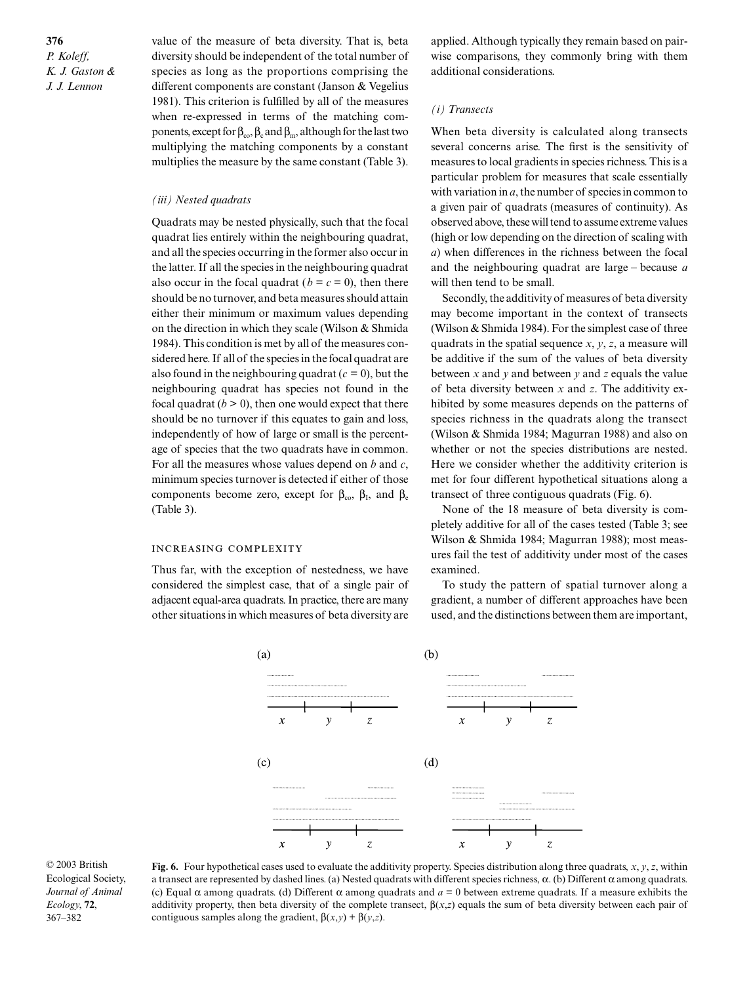value of the measure of beta diversity. That is, beta diversity should be independent of the total number of species as long as the proportions comprising the different components are constant (Janson & Vegelius 1981). This criterion is fulfilled by all of the measures when re-expressed in terms of the matching components, except for  $\beta_{\rm co}$ ,  $\beta_{\rm c}$  and  $\beta_{\rm m}$ , although for the last two multiplying the matching components by a constant multiplies the measure by the same constant (Table 3).

# *(iii) Nested quadrats*

Quadrats may be nested physically, such that the focal quadrat lies entirely within the neighbouring quadrat, and all the species occurring in the former also occur in the latter. If all the species in the neighbouring quadrat also occur in the focal quadrat ( $b = c = 0$ ), then there should be no turnover, and beta measures should attain either their minimum or maximum values depending on the direction in which they scale (Wilson & Shmida 1984). This condition is met by all of the measures considered here. If all of the species in the focal quadrat are also found in the neighbouring quadrat  $(c = 0)$ , but the neighbouring quadrat has species not found in the focal quadrat  $(b > 0)$ , then one would expect that there should be no turnover if this equates to gain and loss, independently of how of large or small is the percentage of species that the two quadrats have in common. For all the measures whose values depend on *b* and *c*, minimum species turnover is detected if either of those components become zero, except for  $\beta_{\rm co}$ ,  $\beta_{\rm I}$ , and  $\beta_{\rm e}$ (Table 3).

# INCREASING COMPLEXITY

Thus far, with the exception of nestedness, we have considered the simplest case, that of a single pair of adjacent equal-area quadrats. In practice, there are many other situations in which measures of beta diversity are

applied. Although typically they remain based on pairwise comparisons, they commonly bring with them additional considerations.

#### *(i) Transects*

When beta diversity is calculated along transects several concerns arise. The first is the sensitivity of measures to local gradients in species richness. This is a particular problem for measures that scale essentially with variation in *a*, the number of species in common to a given pair of quadrats (measures of continuity). As observed above, these will tend to assume extreme values (high or low depending on the direction of scaling with *a*) when differences in the richness between the focal and the neighbouring quadrat are large − because *a* will then tend to be small.

Secondly, the additivity of measures of beta diversity may become important in the context of transects (Wilson & Shmida 1984). For the simplest case of three quadrats in the spatial sequence *x*, *y*, *z*, a measure will be additive if the sum of the values of beta diversity between *x* and *y* and between *y* and *z* equals the value of beta diversity between *x* and *z*. The additivity exhibited by some measures depends on the patterns of species richness in the quadrats along the transect (Wilson & Shmida 1984; Magurran 1988) and also on whether or not the species distributions are nested. Here we consider whether the additivity criterion is met for four different hypothetical situations along a transect of three contiguous quadrats (Fig. 6).

None of the 18 measure of beta diversity is completely additive for all of the cases tested (Table 3; see Wilson & Shmida 1984; Magurran 1988); most measures fail the test of additivity under most of the cases examined.

To study the pattern of spatial turnover along a gradient, a number of different approaches have been used, and the distinctions between them are important,



**Fig. 6.** Four hypothetical cases used to evaluate the additivity property. Species distribution along three quadrats, *x*, *y*, *z*, within a transect are represented by dashed lines. (a) Nested quadrats with different species richness, α. (b) Different α among quadrats. (c) Equal α among quadrats. (d) Different α among quadrats and *a* = 0 between extreme quadrats. If a measure exhibits the additivity property, then beta diversity of the complete transect,  $\beta(x,z)$  equals the sum of beta diversity between each pair of contiguous samples along the gradient, β(*x*,*y*) + β(*y*,*z*).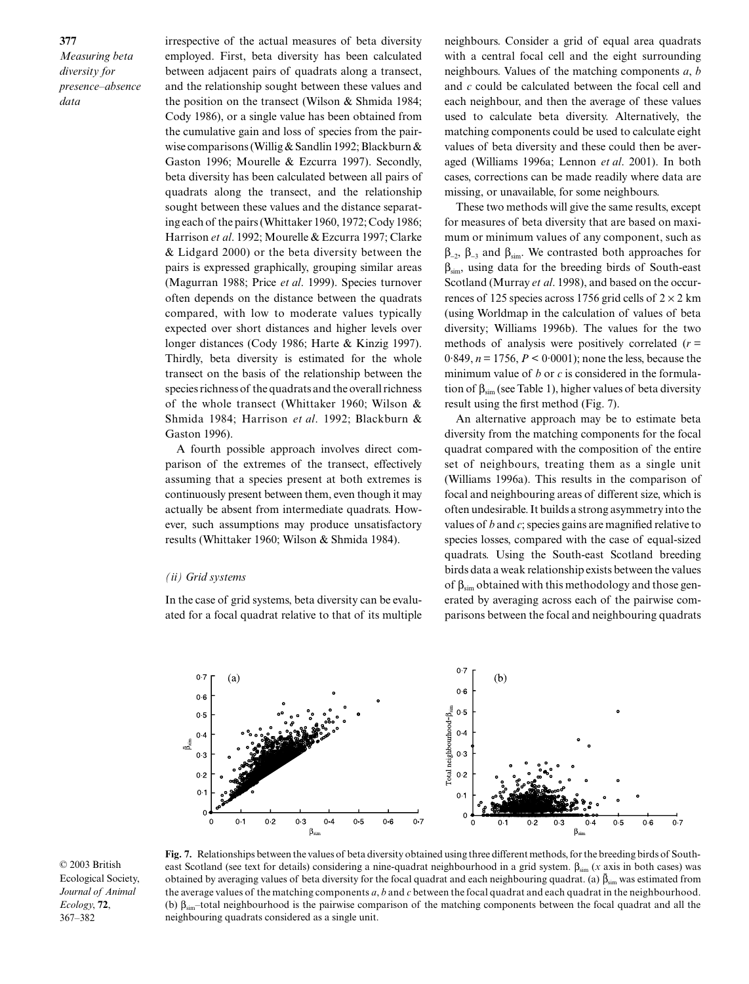irrespective of the actual measures of beta diversity employed. First, beta diversity has been calculated between adjacent pairs of quadrats along a transect, and the relationship sought between these values and the position on the transect (Wilson & Shmida 1984; Cody 1986), or a single value has been obtained from the cumulative gain and loss of species from the pairwise comparisons (Willig & Sandlin 1992; Blackburn & Gaston 1996; Mourelle & Ezcurra 1997). Secondly, beta diversity has been calculated between all pairs of quadrats along the transect, and the relationship sought between these values and the distance separating each of the pairs (Whittaker 1960, 1972; Cody 1986; Harrison *et al*. 1992; Mourelle & Ezcurra 1997; Clarke & Lidgard 2000) or the beta diversity between the pairs is expressed graphically, grouping similar areas (Magurran 1988; Price *et al*. 1999). Species turnover often depends on the distance between the quadrats compared, with low to moderate values typically expected over short distances and higher levels over longer distances (Cody 1986; Harte & Kinzig 1997). Thirdly, beta diversity is estimated for the whole transect on the basis of the relationship between the species richness of the quadrats and the overall richness of the whole transect (Whittaker 1960; Wilson & Shmida 1984; Harrison *et al*. 1992; Blackburn & Gaston 1996).

A fourth possible approach involves direct comparison of the extremes of the transect, effectively assuming that a species present at both extremes is continuously present between them, even though it may actually be absent from intermediate quadrats. However, such assumptions may produce unsatisfactory results (Whittaker 1960; Wilson & Shmida 1984).

# *(ii) Grid systems*

In the case of grid systems, beta diversity can be evaluated for a focal quadrat relative to that of its multiple neighbours. Consider a grid of equal area quadrats with a central focal cell and the eight surrounding neighbours. Values of the matching components *a*, *b* and *c* could be calculated between the focal cell and each neighbour, and then the average of these values used to calculate beta diversity. Alternatively, the matching components could be used to calculate eight values of beta diversity and these could then be averaged (Williams 1996a; Lennon *et al*. 2001). In both cases, corrections can be made readily where data are missing, or unavailable, for some neighbours.

These two methods will give the same results, except for measures of beta diversity that are based on maximum or minimum values of any component, such as  $β$ <sub>-2</sub>,  $β$ <sub>-3</sub> and  $β$ <sub>sim</sub>. We contrasted both approaches for  $\beta_{sim}$ , using data for the breeding birds of South-east Scotland (Murray *et al*. 1998), and based on the occurrences of 125 species across 1756 grid cells of  $2 \times 2$  km (using Worldmap in the calculation of values of beta diversity; Williams 1996b). The values for the two methods of analysis were positively correlated  $(r =$ 0·849, *n* = 1756, *P* < 0·0001); none the less, because the minimum value of *b* or *c* is considered in the formulation of  $\beta_{sim}$  (see Table 1), higher values of beta diversity result using the first method (Fig. 7).

An alternative approach may be to estimate beta diversity from the matching components for the focal quadrat compared with the composition of the entire set of neighbours, treating them as a single unit (Williams 1996a). This results in the comparison of focal and neighbouring areas of different size, which is often undesirable. It builds a strong asymmetry into the values of *b* and *c*; species gains are magnified relative to species losses, compared with the case of equal-sized quadrats. Using the South-east Scotland breeding birds data a weak relationship exists between the values of  $β_{sim}$  obtained with this methodology and those generated by averaging across each of the pairwise comparisons between the focal and neighbouring quadrats



**Fig. 7.** Relationships between the values of beta diversity obtained using three different methods, for the breeding birds of Southeast Scotland (see text for details) considering a nine-quadrat neighbourhood in a grid system. β<sub>sim</sub> (*x* axis in both cases) was obtained by averaging values of beta diversity for the focal quadrat and each neighbouring quadrat. (a)  $\bar{\beta}_{sim}$  was estimated from the average values of the matching components *a*, *b* and *c* between the focal quadrat and each quadrat in the neighbourhood. (b)  $\beta_{sim}$ -total neighbourhood is the pairwise comparison of the matching components between the focal quadrat and all the neighbouring quadrats considered as a single unit.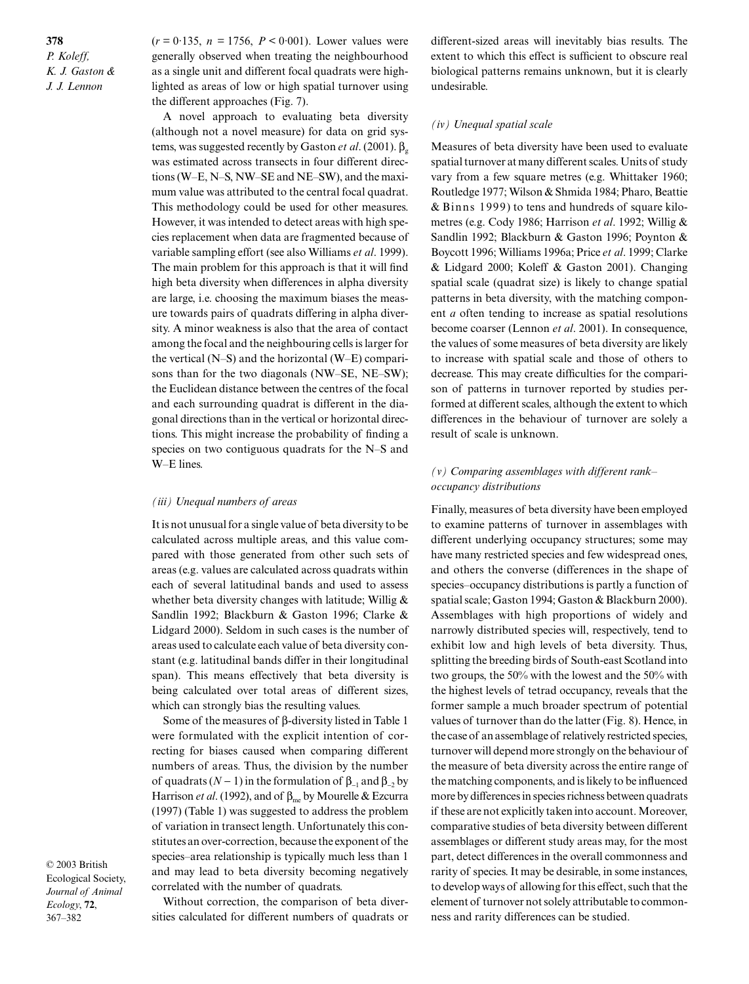$(r = 0.135, n = 1756, P < 0.001)$ . Lower values were generally observed when treating the neighbourhood as a single unit and different focal quadrats were highlighted as areas of low or high spatial turnover using the different approaches (Fig. 7).

A novel approach to evaluating beta diversity (although not a novel measure) for data on grid systems, was suggested recently by Gaston *et al.* (2001). β<sub>g</sub> was estimated across transects in four different directions (W–E, N–S, NW–SE and NE–SW), and the maximum value was attributed to the central focal quadrat. This methodology could be used for other measures. However, it was intended to detect areas with high species replacement when data are fragmented because of variable sampling effort (see also Williams *et al*. 1999). The main problem for this approach is that it will find high beta diversity when differences in alpha diversity are large, i.e. choosing the maximum biases the measure towards pairs of quadrats differing in alpha diversity. A minor weakness is also that the area of contact among the focal and the neighbouring cells is larger for the vertical (N–S) and the horizontal (W–E) comparisons than for the two diagonals (NW–SE, NE–SW); the Euclidean distance between the centres of the focal and each surrounding quadrat is different in the diagonal directions than in the vertical or horizontal directions. This might increase the probability of finding a species on two contiguous quadrats for the N–S and W–E lines.

# *(iii) Unequal numbers of areas*

It is not unusual for a single value of beta diversity to be calculated across multiple areas, and this value compared with those generated from other such sets of areas (e.g. values are calculated across quadrats within each of several latitudinal bands and used to assess whether beta diversity changes with latitude; Willig & Sandlin 1992; Blackburn & Gaston 1996; Clarke & Lidgard 2000). Seldom in such cases is the number of areas used to calculate each value of beta diversity constant (e.g. latitudinal bands differ in their longitudinal span). This means effectively that beta diversity is being calculated over total areas of different sizes, which can strongly bias the resulting values.

Some of the measures of β-diversity listed in Table 1 were formulated with the explicit intention of correcting for biases caused when comparing different numbers of areas. Thus, the division by the number of quadrats (*N* − 1) in the formulation of β−<sup>1</sup> and β−<sup>2</sup> by Harrison *et al.* (1992), and of β<sub>me</sub> by Mourelle & Ezcurra (1997) (Table 1) was suggested to address the problem of variation in transect length. Unfortunately this constitutes an over-correction, because the exponent of the species–area relationship is typically much less than 1 and may lead to beta diversity becoming negatively correlated with the number of quadrats.

© 2003 British Ecological Society, *Journal of Animal Ecology*, **72**, 367–382

Without correction, the comparison of beta diversities calculated for different numbers of quadrats or different-sized areas will inevitably bias results. The extent to which this effect is sufficient to obscure real biological patterns remains unknown, but it is clearly undesirable.

# *(iv) Unequal spatial scale*

Measures of beta diversity have been used to evaluate spatial turnover at many different scales. Units of study vary from a few square metres (e.g. Whittaker 1960; Routledge 1977; Wilson & Shmida 1984; Pharo, Beattie & Binns 1999) to tens and hundreds of square kilometres (e.g. Cody 1986; Harrison *et al*. 1992; Willig & Sandlin 1992; Blackburn & Gaston 1996; Poynton & Boycott 1996; Williams 1996a; Price *et al*. 1999; Clarke & Lidgard 2000; Koleff & Gaston 2001). Changing spatial scale (quadrat size) is likely to change spatial patterns in beta diversity, with the matching component *a* often tending to increase as spatial resolutions become coarser (Lennon *et al*. 2001). In consequence, the values of some measures of beta diversity are likely to increase with spatial scale and those of others to decrease. This may create difficulties for the comparison of patterns in turnover reported by studies performed at different scales, although the extent to which differences in the behaviour of turnover are solely a result of scale is unknown.

# *(v) Comparing assemblages with different rank– occupancy distributions*

Finally, measures of beta diversity have been employed to examine patterns of turnover in assemblages with different underlying occupancy structures; some may have many restricted species and few widespread ones, and others the converse (differences in the shape of species–occupancy distributions is partly a function of spatial scale; Gaston 1994; Gaston & Blackburn 2000). Assemblages with high proportions of widely and narrowly distributed species will, respectively, tend to exhibit low and high levels of beta diversity. Thus, splitting the breeding birds of South-east Scotland into two groups, the 50% with the lowest and the 50% with the highest levels of tetrad occupancy, reveals that the former sample a much broader spectrum of potential values of turnover than do the latter (Fig. 8). Hence, in the case of an assemblage of relatively restricted species, turnover will depend more strongly on the behaviour of the measure of beta diversity across the entire range of the matching components, and is likely to be influenced more by differences in species richness between quadrats if these are not explicitly taken into account. Moreover, comparative studies of beta diversity between different assemblages or different study areas may, for the most part, detect differences in the overall commonness and rarity of species. It may be desirable, in some instances, to develop ways of allowing for this effect, such that the element of turnover not solely attributable to commonness and rarity differences can be studied.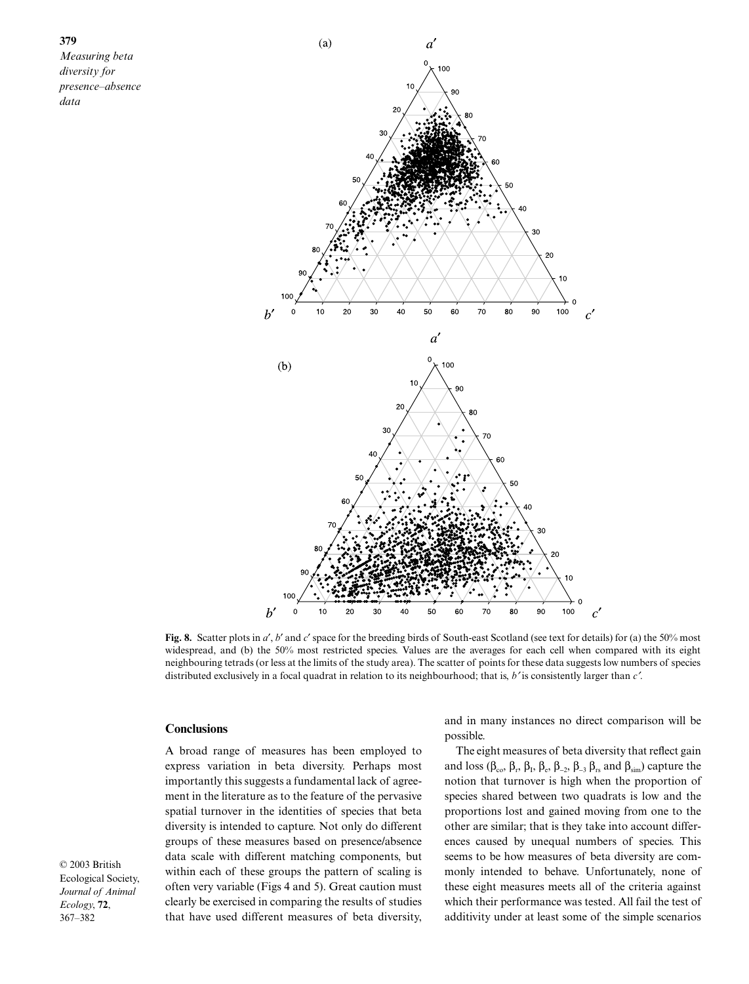

**Fig. 8.** Scatter plots in *a*′, *b*′ and *c*′ space for the breeding birds of South-east Scotland (see text for details) for (a) the 50% most widespread, and (b) the 50% most restricted species. Values are the averages for each cell when compared with its eight neighbouring tetrads (or less at the limits of the study area). The scatter of points for these data suggests low numbers of species distributed exclusively in a focal quadrat in relation to its neighbourhood; that is, *b*′ is consistently larger than *c*′.

# **Conclusions**

A broad range of measures has been employed to express variation in beta diversity. Perhaps most importantly this suggests a fundamental lack of agreement in the literature as to the feature of the pervasive spatial turnover in the identities of species that beta diversity is intended to capture. Not only do different groups of these measures based on presence/absence data scale with different matching components, but within each of these groups the pattern of scaling is often very variable (Figs 4 and 5). Great caution must clearly be exercised in comparing the results of studies that have used different measures of beta diversity,

and in many instances no direct comparison will be possible.

The eight measures of beta diversity that reflect gain and loss  $(\beta_{\rm co}, \beta_{\rm r}, \beta_{\rm r}, \beta_{\rm e}, \beta_{\rm -2}, \beta_{\rm -3}, \beta_{\rm rs} \text{ and } \beta_{\rm sim})$  capture the notion that turnover is high when the proportion of species shared between two quadrats is low and the proportions lost and gained moving from one to the other are similar; that is they take into account differences caused by unequal numbers of species. This seems to be how measures of beta diversity are commonly intended to behave. Unfortunately, none of these eight measures meets all of the criteria against which their performance was tested. All fail the test of additivity under at least some of the simple scenarios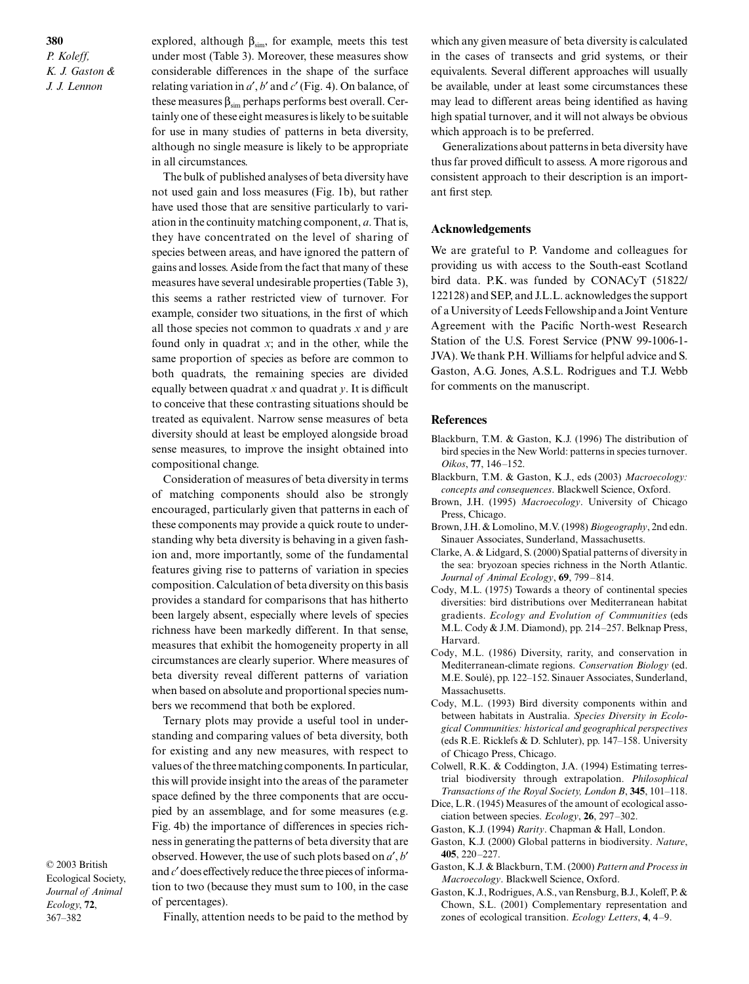explored, although  $\beta_{sim}$ , for example, meets this test under most (Table 3). Moreover, these measures show considerable differences in the shape of the surface relating variation in *a*′, *b*′ and *c*′ (Fig. 4). On balance, of these measures  $\beta_{sim}$  perhaps performs best overall. Certainly one of these eight measures is likely to be suitable for use in many studies of patterns in beta diversity, although no single measure is likely to be appropriate in all circumstances.

The bulk of published analyses of beta diversity have not used gain and loss measures (Fig. 1b), but rather have used those that are sensitive particularly to variation in the continuity matching component, *a*. That is, they have concentrated on the level of sharing of species between areas, and have ignored the pattern of gains and losses. Aside from the fact that many of these measures have several undesirable properties (Table 3), this seems a rather restricted view of turnover. For example, consider two situations, in the first of which all those species not common to quadrats *x* and *y* are found only in quadrat *x*; and in the other, while the same proportion of species as before are common to both quadrats, the remaining species are divided equally between quadrat *x* and quadrat *y*. It is difficult to conceive that these contrasting situations should be treated as equivalent. Narrow sense measures of beta diversity should at least be employed alongside broad sense measures, to improve the insight obtained into compositional change.

Consideration of measures of beta diversity in terms of matching components should also be strongly encouraged, particularly given that patterns in each of these components may provide a quick route to understanding why beta diversity is behaving in a given fashion and, more importantly, some of the fundamental features giving rise to patterns of variation in species composition. Calculation of beta diversity on this basis provides a standard for comparisons that has hitherto been largely absent, especially where levels of species richness have been markedly different. In that sense, measures that exhibit the homogeneity property in all circumstances are clearly superior. Where measures of beta diversity reveal different patterns of variation when based on absolute and proportional species numbers we recommend that both be explored.

Ternary plots may provide a useful tool in understanding and comparing values of beta diversity, both for existing and any new measures, with respect to values of the three matching components. In particular, this will provide insight into the areas of the parameter space defined by the three components that are occupied by an assemblage, and for some measures (e.g. Fig. 4b) the importance of differences in species richness in generating the patterns of beta diversity that are observed. However, the use of such plots based on *a*′, *b*′ and *c*′does effectively reduce the three pieces of information to two (because they must sum to 100, in the case of percentages).

© 2003 British Ecological Society, *Journal of Animal Ecology*, **72**, 367–382

Finally, attention needs to be paid to the method by

which any given measure of beta diversity is calculated in the cases of transects and grid systems, or their equivalents. Several different approaches will usually be available, under at least some circumstances these may lead to different areas being identified as having high spatial turnover, and it will not always be obvious which approach is to be preferred.

Generalizations about patterns in beta diversity have thus far proved difficult to assess. A more rigorous and consistent approach to their description is an important first step.

#### **Acknowledgements**

We are grateful to P. Vandome and colleagues for providing us with access to the South-east Scotland bird data. P.K. was funded by CONACyT (51822/ 122128) and SEP, and J.L.L. acknowledges the support of a University of Leeds Fellowship and a Joint Venture Agreement with the Pacific North-west Research Station of the U.S. Forest Service (PNW 99-1006-1- JVA). We thank P.H. Williams for helpful advice and S. Gaston, A.G. Jones, A.S.L. Rodrigues and T.J. Webb for comments on the manuscript.

#### **References**

- Blackburn, T.M. & Gaston, K.J. (1996) The distribution of bird species in the New World: patterns in species turnover. *Oikos*, **77**, 146–152.
- Blackburn, T.M. & Gaston, K.J., eds (2003) *Macroecology: concepts and consequences*. Blackwell Science, Oxford.
- Brown, J.H. (1995) *Macroecology*. University of Chicago Press, Chicago.
- Brown, J.H. & Lomolino, M.V. (1998) *Biogeography*, 2nd edn. Sinauer Associates, Sunderland, Massachusetts.
- Clarke, A. & Lidgard, S. (2000) Spatial patterns of diversity in the sea: bryozoan species richness in the North Atlantic. *Journal of Animal Ecology*, **69**, 799–814.
- Cody, M.L. (1975) Towards a theory of continental species diversities: bird distributions over Mediterranean habitat gradients. *Ecology and Evolution of Communities* (eds M.L. Cody & J.M. Diamond), pp. 214–257. Belknap Press, Harvard.
- Cody, M.L. (1986) Diversity, rarity, and conservation in Mediterranean-climate regions. *Conservation Biology* (ed. M.E. Soulé), pp. 122–152. Sinauer Associates, Sunderland, Massachusetts.
- Cody, M.L. (1993) Bird diversity components within and between habitats in Australia. *Species Diversity in Ecological Communities: historical and geographical perspectives* (eds R.E. Ricklefs & D. Schluter), pp. 147–158. University of Chicago Press, Chicago.
- Colwell, R.K. & Coddington, J.A. (1994) Estimating terrestrial biodiversity through extrapolation. *Philosophical Transactions of the Royal Society, London B*, **345**, 101–118.
- Dice, L.R. (1945) Measures of the amount of ecological association between species. *Ecology*, **26**, 297–302.
- Gaston, K.J. (1994) *Rarity*. Chapman & Hall, London.
- Gaston, K.J. (2000) Global patterns in biodiversity. *Nature*, **405**, 220–227.
- Gaston, K.J. & Blackburn, T.M. (2000) *Pattern and Process in Macroecology*. Blackwell Science, Oxford.
- Gaston, K.J., Rodrigues, A.S., van Rensburg, B.J., Koleff, P. & Chown, S.L. (2001) Complementary representation and zones of ecological transition. *Ecology Letters*, **4**, 4–9.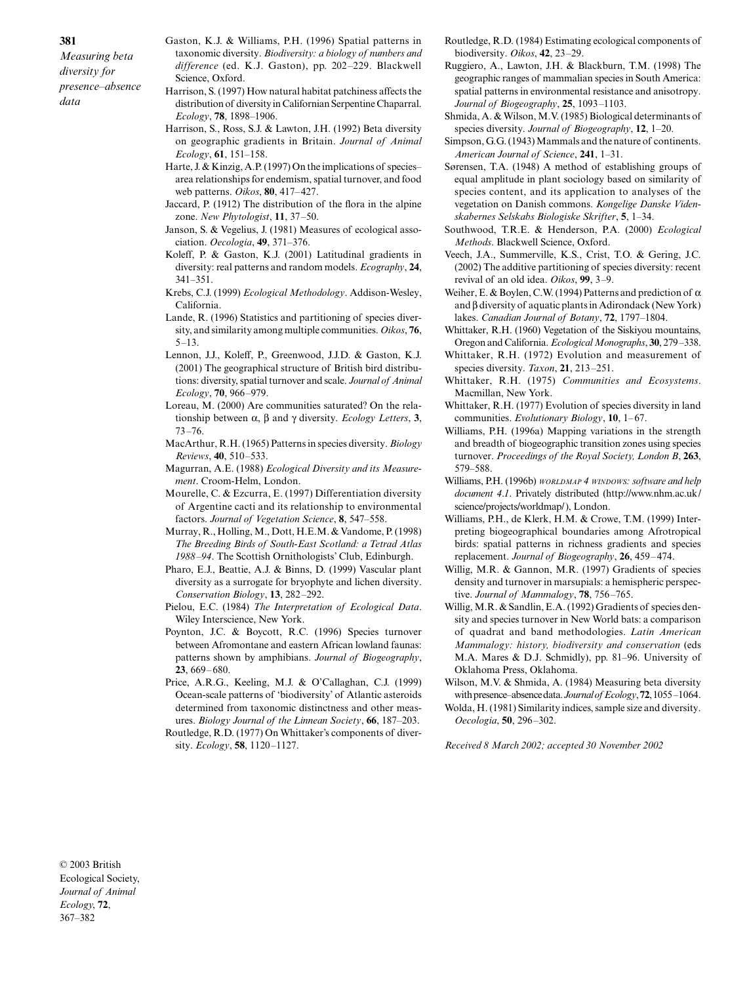- Gaston, K.J. & Williams, P.H. (1996) Spatial patterns in taxonomic diversity. *Biodiversity: a biology of numbers and difference* (ed. K.J. Gaston), pp. 202–229. Blackwell Science, Oxford.
- Harrison, S. (1997) How natural habitat patchiness affects the distribution of diversity in Californian Serpentine Chaparral. *Ecology*, **78**, 1898–1906.
- Harrison, S., Ross, S.J. & Lawton, J.H. (1992) Beta diversity on geographic gradients in Britain. *Journal of Animal Ecology*, **61**, 151–158.
- Harte, J. & Kinzig, A.P. (1997) On the implications of species– area relationships for endemism, spatial turnover, and food web patterns. *Oikos*, **80**, 417–427.
- Jaccard, P. (1912) The distribution of the flora in the alpine zone. *New Phytologist*, **11**, 37–50.
- Janson, S. & Vegelius, J. (1981) Measures of ecological association. *Oecologia*, **49**, 371–376.
- Koleff, P. & Gaston, K.J. (2001) Latitudinal gradients in diversity: real patterns and random models. *Ecography*, **24**, 341–351.
- Krebs, C.J. (1999) *Ecological Methodology*. Addison-Wesley, California.
- Lande, R. (1996) Statistics and partitioning of species diversity, and similarity among multiple communities. *Oikos*, **76**, 5–13.
- Lennon, J.J., Koleff, P., Greenwood, J.J.D. & Gaston, K.J. (2001) The geographical structure of British bird distributions: diversity, spatial turnover and scale. *Journal of Animal Ecology*, **70**, 966–979.
- Loreau, M. (2000) Are communities saturated? On the relationship between α, β and γ diversity. *Ecology Letters*, **3**, 73–76.
- MacArthur, R.H. (1965) Patterns in species diversity. *Biology Reviews*, **40**, 510–533.
- Magurran, A.E. (1988) *Ecological Diversity and its Measurement*. Croom-Helm, London.
- Mourelle, C. & Ezcurra, E. (1997) Differentiation diversity of Argentine cacti and its relationship to environmental factors. *Journal of Vegetation Science*, **8**, 547–558.
- Murray, R., Holling, M., Dott, H.E.M. & Vandome, P. (1998) *The Breeding Birds of South-East Scotland: a Tetrad Atlas 1988–94*. The Scottish Ornithologists' Club, Edinburgh.
- Pharo, E.J., Beattie, A.J. & Binns, D. (1999) Vascular plant diversity as a surrogate for bryophyte and lichen diversity. *Conservation Biology*, **13**, 282–292.
- Pielou, E.C. (1984) *The Interpretation of Ecological Data*. Wiley Interscience, New York.
- Poynton, J.C. & Boycott, R.C. (1996) Species turnover between Afromontane and eastern African lowland faunas: patterns shown by amphibians. *Journal of Biogeography*, **23**, 669–680.
- Price, A.R.G., Keeling, M.J. & O'Callaghan, C.J. (1999) Ocean-scale patterns of 'biodiversity' of Atlantic asteroids determined from taxonomic distinctness and other measures. *Biology Journal of the Linnean Society*, **66**, 187–203.
- Routledge, R.D. (1977) On Whittaker's components of diversity. *Ecology*, **58**, 1120–1127.
- Routledge, R.D. (1984) Estimating ecological components of biodiversity. *Oikos*, **42**, 23–29.
- Ruggiero, A., Lawton, J.H. & Blackburn, T.M. (1998) The geographic ranges of mammalian species in South America: spatial patterns in environmental resistance and anisotropy. *Journal of Biogeography*, **25**, 1093–1103.
- Shmida, A. & Wilson, M.V. (1985) Biological determinants of species diversity. *Journal of Biogeography*, **12**, 1–20.
- Simpson, G.G. (1943) Mammals and the nature of continents. *American Journal of Science*, **241**, 1–31.
- Sørensen, T.A. (1948) A method of establishing groups of equal amplitude in plant sociology based on similarity of species content, and its application to analyses of the vegetation on Danish commons. *Kongelige Danske Videnskabernes Selskabs Biologiske Skrifter*, **5**, 1–34.
- Southwood, T.R.E. & Henderson, P.A. (2000) *Ecological Methods*. Blackwell Science, Oxford.
- Veech, J.A., Summerville, K.S., Crist, T.O. & Gering, J.C. (2002) The additive partitioning of species diversity: recent revival of an old idea. *Oikos*, **99**, 3–9.
- Weiher, E. & Boylen, C.W. (1994) Patterns and prediction of  $\alpha$ and β diversity of aquatic plants in Adirondack (New York) lakes. *Canadian Journal of Botany*, **72**, 1797–1804.
- Whittaker, R.H. (1960) Vegetation of the Siskiyou mountains, Oregon and California. *Ecological Monographs*, **30**, 279–338.
- Whittaker, R.H. (1972) Evolution and measurement of species diversity. *Taxon*, **21**, 213–251.
- Whittaker, R.H. (1975) *Communities and Ecosystems*. Macmillan, New York.
- Whittaker, R.H. (1977) Evolution of species diversity in land communities. *Evolutionary Biology*, **10**, 1–67.
- Williams, P.H. (1996a) Mapping variations in the strength and breadth of biogeographic transition zones using species turnover. *Proceedings of the Royal Society, London B*, **263**, 579–588.
- Williams, P.H. (1996b) *WORLDMAP 4 WINDOWS: software and help document 4*.*1*. Privately distributed (<http://www.nhm.ac.uk/> science/projects/worldmap/), London.
- Williams, P.H., de Klerk, H.M. & Crowe, T.M. (1999) Interpreting biogeographical boundaries among Afrotropical birds: spatial patterns in richness gradients and species replacement. *Journal of Biogeography*, **26**, 459–474.
- Willig, M.R. & Gannon, M.R. (1997) Gradients of species density and turnover in marsupials: a hemispheric perspective. *Journal of Mammalogy*, **78**, 756–765.
- Willig, M.R. & Sandlin, E.A. (1992) Gradients of species density and species turnover in New World bats: a comparison of quadrat and band methodologies. *Latin American Mammalogy: history, biodiversity and conservation* (eds M.A. Mares & D.J. Schmidly), pp. 81–96. University of Oklahoma Press, Oklahoma.
- Wilson, M.V. & Shmida, A. (1984) Measuring beta diversity with presence–absence data. *Journal of Ecology*, **72**, 1055–1064.
- Wolda, H. (1981) Similarity indices, sample size and diversity. *Oecologia*, **50**, 296–302.

*Received 8 March 2002; accepted 30 November 2002*

© 2003 British Ecological Society, *Journal of Animal Ecology*, **72**, 367–382

# **381**